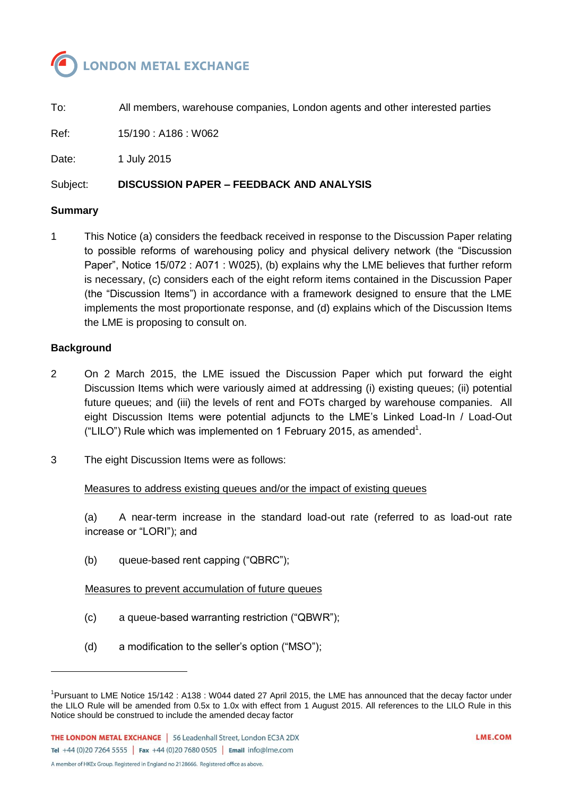

To: All members, warehouse companies, London agents and other interested parties Ref: 15/190 : A186 : W062 Date: 1 July 2015 Subject: **DISCUSSION PAPER – FEEDBACK AND ANALYSIS**

#### **Summary**

1 This Notice (a) considers the feedback received in response to the Discussion Paper relating to possible reforms of warehousing policy and physical delivery network (the "Discussion Paper", Notice 15/072 : A071 : W025), (b) explains why the LME believes that further reform is necessary, (c) considers each of the eight reform items contained in the Discussion Paper (the "Discussion Items") in accordance with a framework designed to ensure that the LME implements the most proportionate response, and (d) explains which of the Discussion Items the LME is proposing to consult on.

#### **Background**

l

- 2 On 2 March 2015, the LME issued the Discussion Paper which put forward the eight Discussion Items which were variously aimed at addressing (i) existing queues; (ii) potential future queues; and (iii) the levels of rent and FOTs charged by warehouse companies. All eight Discussion Items were potential adjuncts to the LME's Linked Load-In / Load-Out ("LILO") Rule which was implemented on 1 February 2015, as amended $^1$ .
- 3 The eight Discussion Items were as follows:

#### Measures to address existing queues and/or the impact of existing queues

(a) A near-term increase in the standard load-out rate (referred to as load-out rate increase or "LORI"); and

(b) queue-based rent capping ("QBRC");

### Measures to prevent accumulation of future queues

- (c) a queue-based warranting restriction ("QBWR");
- (d) a modification to the seller's option ("MSO");

<sup>&</sup>lt;sup>1</sup>Pursuant to LME Notice 15/142 : A138 : W044 dated 27 April 2015, the LME has announced that the decay factor under the LILO Rule will be amended from 0.5x to 1.0x with effect from 1 August 2015. All references to the LILO Rule in this Notice should be construed to include the amended decay factor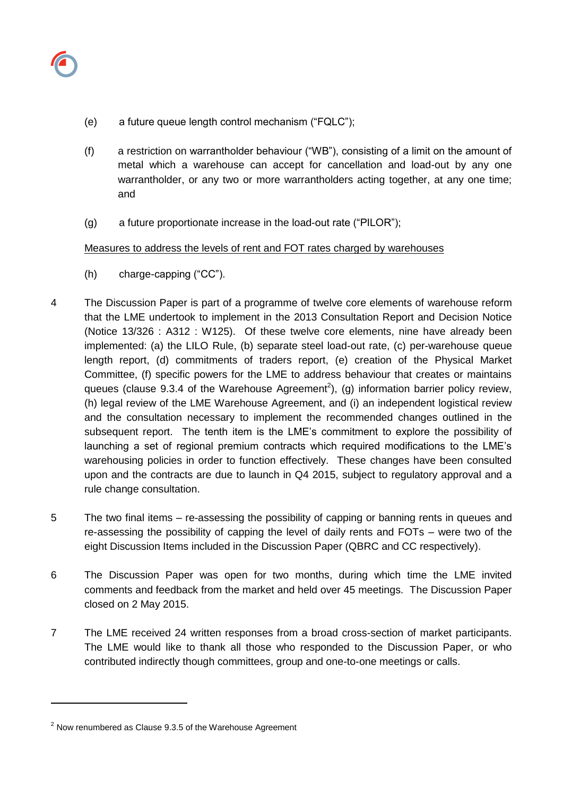

- (e) a future queue length control mechanism ("FQLC");
- (f) a restriction on warrantholder behaviour ("WB"), consisting of a limit on the amount of metal which a warehouse can accept for cancellation and load-out by any one warrantholder, or any two or more warrantholders acting together, at any one time; and
- (g) a future proportionate increase in the load-out rate ("PILOR");

## Measures to address the levels of rent and FOT rates charged by warehouses

- (h) charge-capping ("CC").
- 4 The Discussion Paper is part of a programme of twelve core elements of warehouse reform that the LME undertook to implement in the 2013 Consultation Report and Decision Notice (Notice 13/326 : A312 : W125). Of these twelve core elements, nine have already been implemented: (a) the LILO Rule, (b) separate steel load-out rate, (c) per-warehouse queue length report, (d) commitments of traders report, (e) creation of the Physical Market Committee, (f) specific powers for the LME to address behaviour that creates or maintains queues (clause 9.3.4 of the Warehouse Agreement<sup>2</sup>), (g) information barrier policy review, (h) legal review of the LME Warehouse Agreement, and (i) an independent logistical review and the consultation necessary to implement the recommended changes outlined in the subsequent report. The tenth item is the LME's commitment to explore the possibility of launching a set of regional premium contracts which required modifications to the LME's warehousing policies in order to function effectively. These changes have been consulted upon and the contracts are due to launch in Q4 2015, subject to regulatory approval and a rule change consultation.
- 5 The two final items re-assessing the possibility of capping or banning rents in queues and re-assessing the possibility of capping the level of daily rents and FOTs – were two of the eight Discussion Items included in the Discussion Paper (QBRC and CC respectively).
- 6 The Discussion Paper was open for two months, during which time the LME invited comments and feedback from the market and held over 45 meetings. The Discussion Paper closed on 2 May 2015.
- 7 The LME received 24 written responses from a broad cross-section of market participants. The LME would like to thank all those who responded to the Discussion Paper, or who contributed indirectly though committees, group and one-to-one meetings or calls.

l

 $2$  Now renumbered as Clause 9.3.5 of the Warehouse Agreement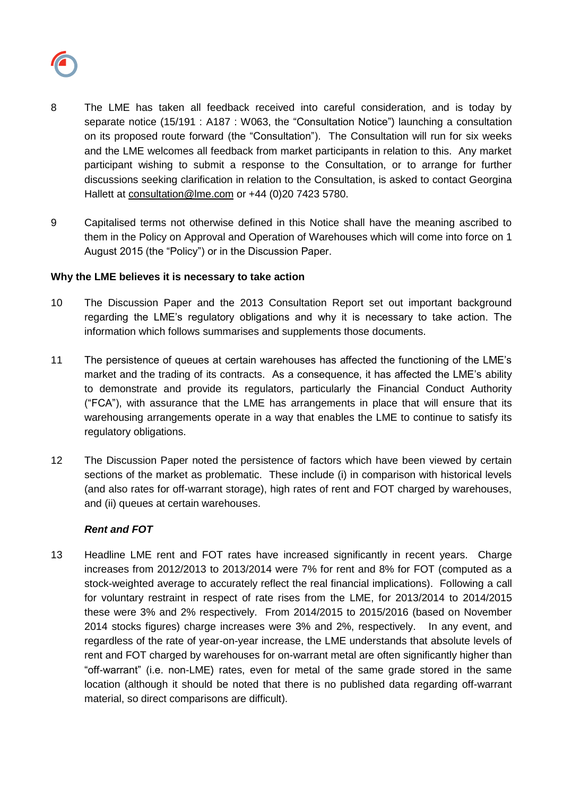

- 8 The LME has taken all feedback received into careful consideration, and is today by separate notice (15/191 : A187 : W063, the "Consultation Notice") launching a consultation on its proposed route forward (the "Consultation"). The Consultation will run for six weeks and the LME welcomes all feedback from market participants in relation to this. Any market participant wishing to submit a response to the Consultation, or to arrange for further discussions seeking clarification in relation to the Consultation, is asked to contact Georgina Hallett at [consultation@lme.com](mailto:consultation@lme.com) or +44 (0)20 7423 5780.
- 9 Capitalised terms not otherwise defined in this Notice shall have the meaning ascribed to them in the Policy on Approval and Operation of Warehouses which will come into force on 1 August 2015 (the "Policy") or in the Discussion Paper.

### **Why the LME believes it is necessary to take action**

- 10 The Discussion Paper and the 2013 Consultation Report set out important background regarding the LME's regulatory obligations and why it is necessary to take action. The information which follows summarises and supplements those documents.
- 11 The persistence of queues at certain warehouses has affected the functioning of the LME's market and the trading of its contracts. As a consequence, it has affected the LME's ability to demonstrate and provide its regulators, particularly the Financial Conduct Authority ("FCA"), with assurance that the LME has arrangements in place that will ensure that its warehousing arrangements operate in a way that enables the LME to continue to satisfy its regulatory obligations.
- 12 The Discussion Paper noted the persistence of factors which have been viewed by certain sections of the market as problematic. These include (i) in comparison with historical levels (and also rates for off-warrant storage), high rates of rent and FOT charged by warehouses, and (ii) queues at certain warehouses.

# *Rent and FOT*

13 Headline LME rent and FOT rates have increased significantly in recent years. Charge increases from 2012/2013 to 2013/2014 were 7% for rent and 8% for FOT (computed as a stock-weighted average to accurately reflect the real financial implications). Following a call for voluntary restraint in respect of rate rises from the LME, for 2013/2014 to 2014/2015 these were 3% and 2% respectively. From 2014/2015 to 2015/2016 (based on November 2014 stocks figures) charge increases were 3% and 2%, respectively. In any event, and regardless of the rate of year-on-year increase, the LME understands that absolute levels of rent and FOT charged by warehouses for on-warrant metal are often significantly higher than "off-warrant" (i.e. non-LME) rates, even for metal of the same grade stored in the same location (although it should be noted that there is no published data regarding off-warrant material, so direct comparisons are difficult).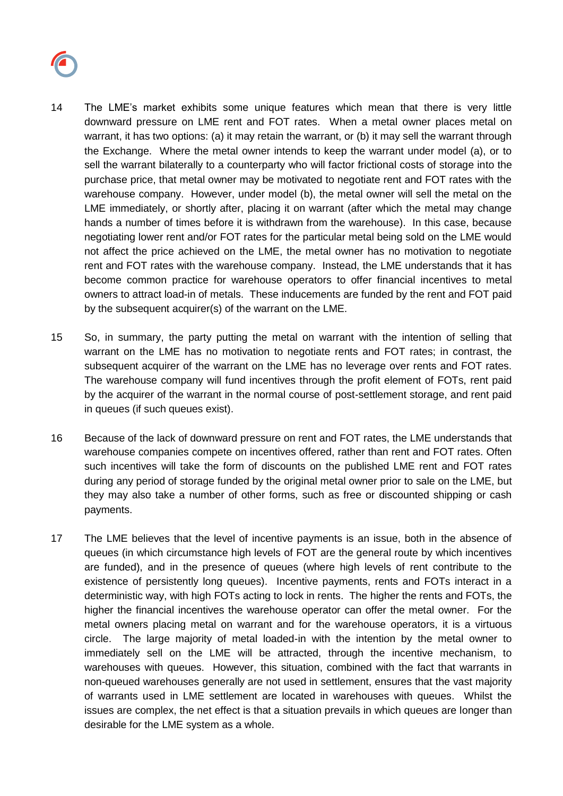

- 14 The LME's market exhibits some unique features which mean that there is very little downward pressure on LME rent and FOT rates. When a metal owner places metal on warrant, it has two options: (a) it may retain the warrant, or (b) it may sell the warrant through the Exchange. Where the metal owner intends to keep the warrant under model (a), or to sell the warrant bilaterally to a counterparty who will factor frictional costs of storage into the purchase price, that metal owner may be motivated to negotiate rent and FOT rates with the warehouse company. However, under model (b), the metal owner will sell the metal on the LME immediately, or shortly after, placing it on warrant (after which the metal may change hands a number of times before it is withdrawn from the warehouse). In this case, because negotiating lower rent and/or FOT rates for the particular metal being sold on the LME would not affect the price achieved on the LME, the metal owner has no motivation to negotiate rent and FOT rates with the warehouse company. Instead, the LME understands that it has become common practice for warehouse operators to offer financial incentives to metal owners to attract load-in of metals. These inducements are funded by the rent and FOT paid by the subsequent acquirer(s) of the warrant on the LME.
- 15 So, in summary, the party putting the metal on warrant with the intention of selling that warrant on the LME has no motivation to negotiate rents and FOT rates; in contrast, the subsequent acquirer of the warrant on the LME has no leverage over rents and FOT rates. The warehouse company will fund incentives through the profit element of FOTs, rent paid by the acquirer of the warrant in the normal course of post-settlement storage, and rent paid in queues (if such queues exist).
- 16 Because of the lack of downward pressure on rent and FOT rates, the LME understands that warehouse companies compete on incentives offered, rather than rent and FOT rates. Often such incentives will take the form of discounts on the published LME rent and FOT rates during any period of storage funded by the original metal owner prior to sale on the LME, but they may also take a number of other forms, such as free or discounted shipping or cash payments.
- 17 The LME believes that the level of incentive payments is an issue, both in the absence of queues (in which circumstance high levels of FOT are the general route by which incentives are funded), and in the presence of queues (where high levels of rent contribute to the existence of persistently long queues). Incentive payments, rents and FOTs interact in a deterministic way, with high FOTs acting to lock in rents. The higher the rents and FOTs, the higher the financial incentives the warehouse operator can offer the metal owner. For the metal owners placing metal on warrant and for the warehouse operators, it is a virtuous circle. The large majority of metal loaded-in with the intention by the metal owner to immediately sell on the LME will be attracted, through the incentive mechanism, to warehouses with queues. However, this situation, combined with the fact that warrants in non-queued warehouses generally are not used in settlement, ensures that the vast majority of warrants used in LME settlement are located in warehouses with queues. Whilst the issues are complex, the net effect is that a situation prevails in which queues are longer than desirable for the LME system as a whole.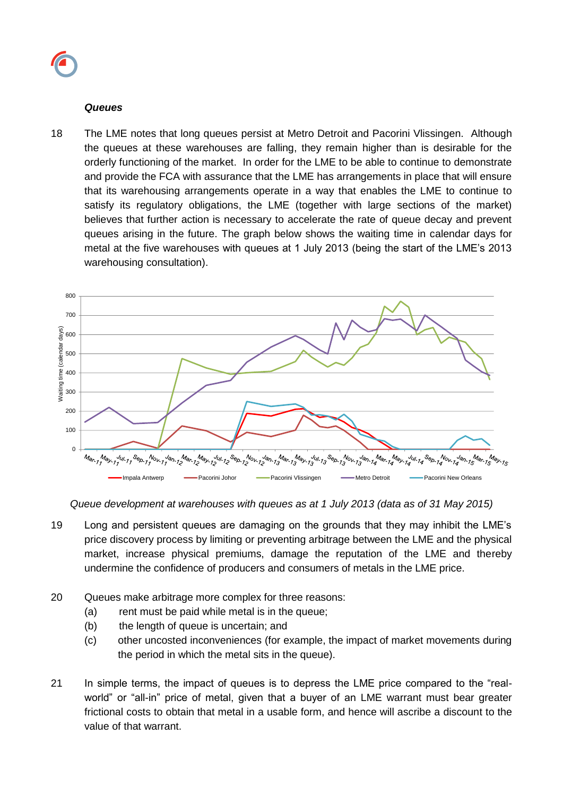#### *Queues*

18 The LME notes that long queues persist at Metro Detroit and Pacorini Vlissingen. Although the queues at these warehouses are falling, they remain higher than is desirable for the orderly functioning of the market. In order for the LME to be able to continue to demonstrate and provide the FCA with assurance that the LME has arrangements in place that will ensure that its warehousing arrangements operate in a way that enables the LME to continue to satisfy its regulatory obligations, the LME (together with large sections of the market) believes that further action is necessary to accelerate the rate of queue decay and prevent queues arising in the future. The graph below shows the waiting time in calendar days for metal at the five warehouses with queues at 1 July 2013 (being the start of the LME's 2013 warehousing consultation).



*Queue development at warehouses with queues as at 1 July 2013 (data as of 31 May 2015)*

- 19 Long and persistent queues are damaging on the grounds that they may inhibit the LME's price discovery process by limiting or preventing arbitrage between the LME and the physical market, increase physical premiums, damage the reputation of the LME and thereby undermine the confidence of producers and consumers of metals in the LME price.
- 20 Queues make arbitrage more complex for three reasons:
	- (a) rent must be paid while metal is in the queue;
	- (b) the length of queue is uncertain; and
	- (c) other uncosted inconveniences (for example, the impact of market movements during the period in which the metal sits in the queue).
- 21 In simple terms, the impact of queues is to depress the LME price compared to the "realworld" or "all-in" price of metal, given that a buyer of an LME warrant must bear greater frictional costs to obtain that metal in a usable form, and hence will ascribe a discount to the value of that warrant.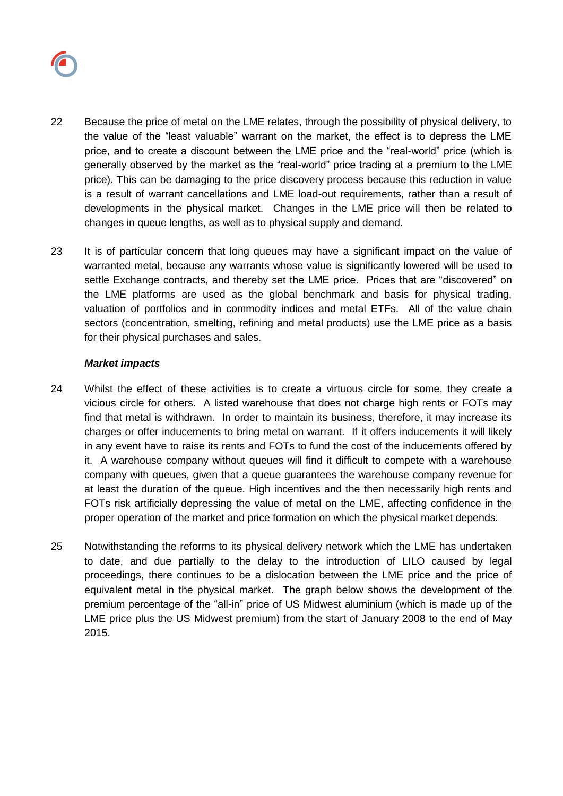

- 22 Because the price of metal on the LME relates, through the possibility of physical delivery, to the value of the "least valuable" warrant on the market, the effect is to depress the LME price, and to create a discount between the LME price and the "real-world" price (which is generally observed by the market as the "real-world" price trading at a premium to the LME price). This can be damaging to the price discovery process because this reduction in value is a result of warrant cancellations and LME load-out requirements, rather than a result of developments in the physical market. Changes in the LME price will then be related to changes in queue lengths, as well as to physical supply and demand.
- 23 It is of particular concern that long queues may have a significant impact on the value of warranted metal, because any warrants whose value is significantly lowered will be used to settle Exchange contracts, and thereby set the LME price. Prices that are "discovered" on the LME platforms are used as the global benchmark and basis for physical trading, valuation of portfolios and in commodity indices and metal ETFs. All of the value chain sectors (concentration, smelting, refining and metal products) use the LME price as a basis for their physical purchases and sales.

### *Market impacts*

- 24 Whilst the effect of these activities is to create a virtuous circle for some, they create a vicious circle for others. A listed warehouse that does not charge high rents or FOTs may find that metal is withdrawn. In order to maintain its business, therefore, it may increase its charges or offer inducements to bring metal on warrant. If it offers inducements it will likely in any event have to raise its rents and FOTs to fund the cost of the inducements offered by it. A warehouse company without queues will find it difficult to compete with a warehouse company with queues, given that a queue guarantees the warehouse company revenue for at least the duration of the queue. High incentives and the then necessarily high rents and FOTs risk artificially depressing the value of metal on the LME, affecting confidence in the proper operation of the market and price formation on which the physical market depends.
- 25 Notwithstanding the reforms to its physical delivery network which the LME has undertaken to date, and due partially to the delay to the introduction of LILO caused by legal proceedings, there continues to be a dislocation between the LME price and the price of equivalent metal in the physical market. The graph below shows the development of the premium percentage of the "all-in" price of US Midwest aluminium (which is made up of the LME price plus the US Midwest premium) from the start of January 2008 to the end of May 2015.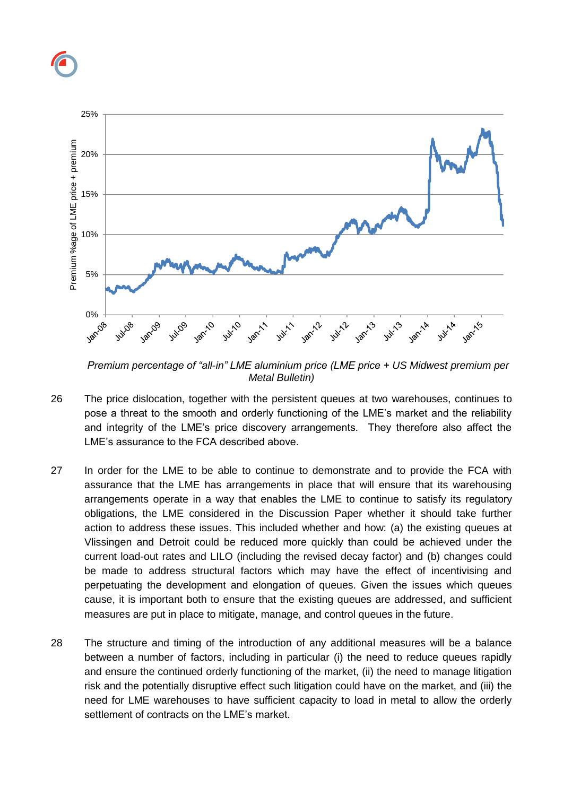

*Premium percentage of "all-in" LME aluminium price (LME price + US Midwest premium per Metal Bulletin)*

- 26 The price dislocation, together with the persistent queues at two warehouses, continues to pose a threat to the smooth and orderly functioning of the LME's market and the reliability and integrity of the LME's price discovery arrangements. They therefore also affect the LME's assurance to the FCA described above.
- 27 In order for the LME to be able to continue to demonstrate and to provide the FCA with assurance that the LME has arrangements in place that will ensure that its warehousing arrangements operate in a way that enables the LME to continue to satisfy its regulatory obligations, the LME considered in the Discussion Paper whether it should take further action to address these issues. This included whether and how: (a) the existing queues at Vlissingen and Detroit could be reduced more quickly than could be achieved under the current load-out rates and LILO (including the revised decay factor) and (b) changes could be made to address structural factors which may have the effect of incentivising and perpetuating the development and elongation of queues. Given the issues which queues cause, it is important both to ensure that the existing queues are addressed, and sufficient measures are put in place to mitigate, manage, and control queues in the future.
- 28 The structure and timing of the introduction of any additional measures will be a balance between a number of factors, including in particular (i) the need to reduce queues rapidly and ensure the continued orderly functioning of the market, (ii) the need to manage litigation risk and the potentially disruptive effect such litigation could have on the market, and (iii) the need for LME warehouses to have sufficient capacity to load in metal to allow the orderly settlement of contracts on the LME's market.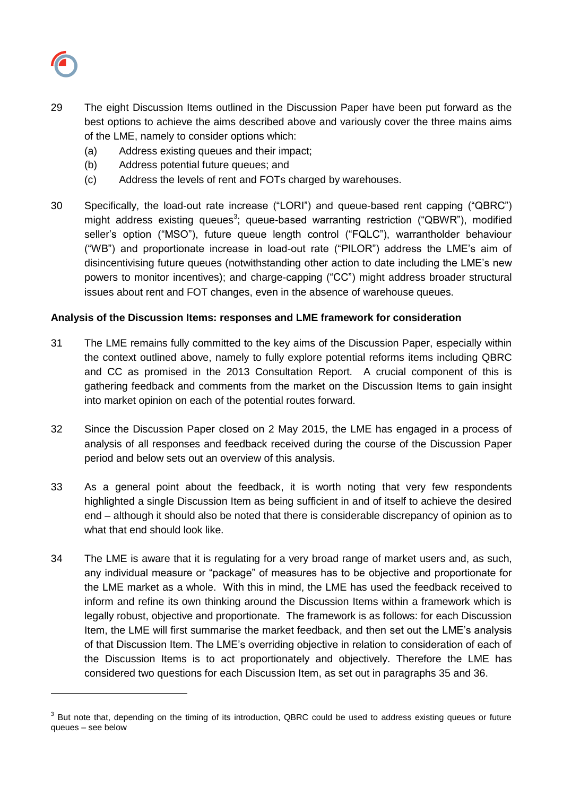

 $\overline{a}$ 

- 29 The eight Discussion Items outlined in the Discussion Paper have been put forward as the best options to achieve the aims described above and variously cover the three mains aims of the LME, namely to consider options which:
	- (a) Address existing queues and their impact;
	- (b) Address potential future queues; and
	- (c) Address the levels of rent and FOTs charged by warehouses.
- 30 Specifically, the load-out rate increase ("LORI") and queue-based rent capping ("QBRC") might address existing queues<sup>3</sup>; queue-based warranting restriction ("QBWR"), modified seller's option ("MSO"), future queue length control ("FQLC"), warrantholder behaviour ("WB") and proportionate increase in load-out rate ("PILOR") address the LME's aim of disincentivising future queues (notwithstanding other action to date including the LME's new powers to monitor incentives); and charge-capping ("CC") might address broader structural issues about rent and FOT changes, even in the absence of warehouse queues.

## **Analysis of the Discussion Items: responses and LME framework for consideration**

- 31 The LME remains fully committed to the key aims of the Discussion Paper, especially within the context outlined above, namely to fully explore potential reforms items including QBRC and CC as promised in the 2013 Consultation Report. A crucial component of this is gathering feedback and comments from the market on the Discussion Items to gain insight into market opinion on each of the potential routes forward.
- 32 Since the Discussion Paper closed on 2 May 2015, the LME has engaged in a process of analysis of all responses and feedback received during the course of the Discussion Paper period and below sets out an overview of this analysis.
- 33 As a general point about the feedback, it is worth noting that very few respondents highlighted a single Discussion Item as being sufficient in and of itself to achieve the desired end – although it should also be noted that there is considerable discrepancy of opinion as to what that end should look like.
- 34 The LME is aware that it is regulating for a very broad range of market users and, as such, any individual measure or "package" of measures has to be objective and proportionate for the LME market as a whole. With this in mind, the LME has used the feedback received to inform and refine its own thinking around the Discussion Items within a framework which is legally robust, objective and proportionate. The framework is as follows: for each Discussion Item, the LME will first summarise the market feedback, and then set out the LME's analysis of that Discussion Item. The LME's overriding objective in relation to consideration of each of the Discussion Items is to act proportionately and objectively. Therefore the LME has considered two questions for each Discussion Item, as set out in paragraphs 35 and 36.

 $3$  But note that, depending on the timing of its introduction, QBRC could be used to address existing queues or future queues – see below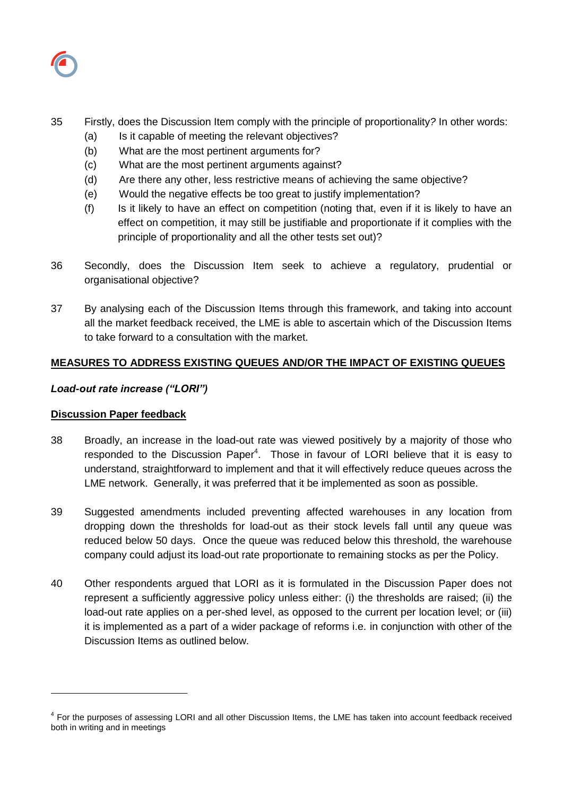

## 35 Firstly, does the Discussion Item comply with the principle of proportionality*?* In other words:

- (a) Is it capable of meeting the relevant objectives?
- (b) What are the most pertinent arguments for?
- (c) What are the most pertinent arguments against?
- (d) Are there any other, less restrictive means of achieving the same objective?
- (e) Would the negative effects be too great to justify implementation?
- (f) Is it likely to have an effect on competition (noting that, even if it is likely to have an effect on competition, it may still be justifiable and proportionate if it complies with the principle of proportionality and all the other tests set out)?
- 36 Secondly, does the Discussion Item seek to achieve a regulatory, prudential or organisational objective?
- 37 By analysing each of the Discussion Items through this framework, and taking into account all the market feedback received, the LME is able to ascertain which of the Discussion Items to take forward to a consultation with the market.

## **MEASURES TO ADDRESS EXISTING QUEUES AND/OR THE IMPACT OF EXISTING QUEUES**

### *Load-out rate increase ("LORI")*

### **Discussion Paper feedback**

 $\overline{a}$ 

- 38 Broadly, an increase in the load-out rate was viewed positively by a majority of those who responded to the Discussion Paper<sup>4</sup>. Those in favour of LORI believe that it is easy to understand, straightforward to implement and that it will effectively reduce queues across the LME network. Generally, it was preferred that it be implemented as soon as possible.
- 39 Suggested amendments included preventing affected warehouses in any location from dropping down the thresholds for load-out as their stock levels fall until any queue was reduced below 50 days. Once the queue was reduced below this threshold, the warehouse company could adjust its load-out rate proportionate to remaining stocks as per the Policy.
- 40 Other respondents argued that LORI as it is formulated in the Discussion Paper does not represent a sufficiently aggressive policy unless either: (i) the thresholds are raised; (ii) the load-out rate applies on a per-shed level, as opposed to the current per location level; or (iii) it is implemented as a part of a wider package of reforms i.e. in conjunction with other of the Discussion Items as outlined below.

<sup>&</sup>lt;sup>4</sup> For the purposes of assessing LORI and all other Discussion Items, the LME has taken into account feedback received both in writing and in meetings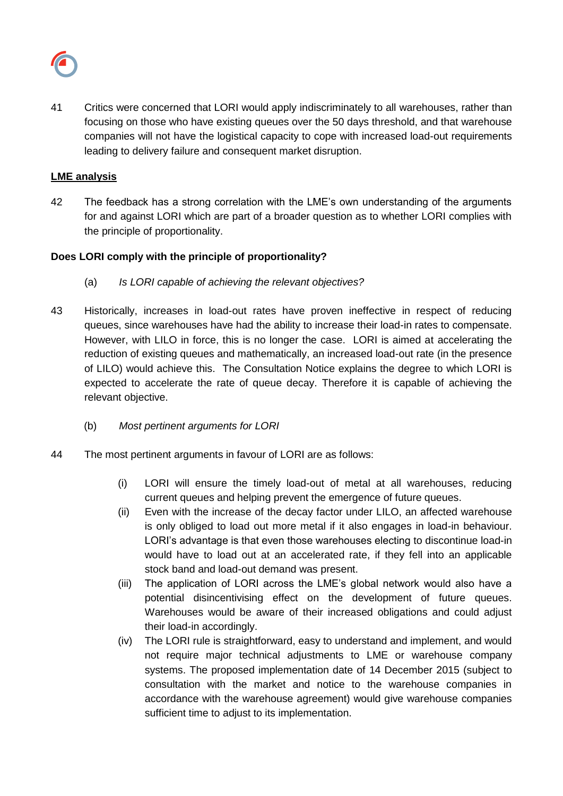

41 Critics were concerned that LORI would apply indiscriminately to all warehouses, rather than focusing on those who have existing queues over the 50 days threshold, and that warehouse companies will not have the logistical capacity to cope with increased load-out requirements leading to delivery failure and consequent market disruption.

## **LME analysis**

42 The feedback has a strong correlation with the LME's own understanding of the arguments for and against LORI which are part of a broader question as to whether LORI complies with the principle of proportionality.

## **Does LORI comply with the principle of proportionality?**

- (a) *Is LORI capable of achieving the relevant objectives?*
- 43 Historically, increases in load-out rates have proven ineffective in respect of reducing queues, since warehouses have had the ability to increase their load-in rates to compensate. However, with LILO in force, this is no longer the case. LORI is aimed at accelerating the reduction of existing queues and mathematically, an increased load-out rate (in the presence of LILO) would achieve this. The Consultation Notice explains the degree to which LORI is expected to accelerate the rate of queue decay. Therefore it is capable of achieving the relevant objective.
	- (b) *Most pertinent arguments for LORI*
- 44 The most pertinent arguments in favour of LORI are as follows:
	- (i) LORI will ensure the timely load-out of metal at all warehouses, reducing current queues and helping prevent the emergence of future queues.
	- (ii) Even with the increase of the decay factor under LILO, an affected warehouse is only obliged to load out more metal if it also engages in load-in behaviour. LORI's advantage is that even those warehouses electing to discontinue load-in would have to load out at an accelerated rate, if they fell into an applicable stock band and load-out demand was present.
	- (iii) The application of LORI across the LME's global network would also have a potential disincentivising effect on the development of future queues. Warehouses would be aware of their increased obligations and could adjust their load-in accordingly.
	- (iv) The LORI rule is straightforward, easy to understand and implement, and would not require major technical adjustments to LME or warehouse company systems. The proposed implementation date of 14 December 2015 (subject to consultation with the market and notice to the warehouse companies in accordance with the warehouse agreement) would give warehouse companies sufficient time to adjust to its implementation.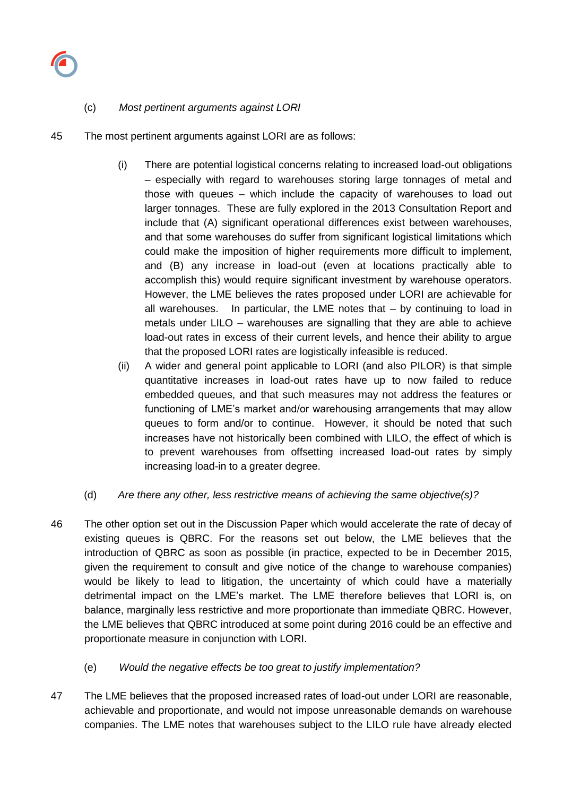

## (c) *Most pertinent arguments against LORI*

- 45 The most pertinent arguments against LORI are as follows:
	- (i) There are potential logistical concerns relating to increased load-out obligations – especially with regard to warehouses storing large tonnages of metal and those with queues – which include the capacity of warehouses to load out larger tonnages. These are fully explored in the 2013 Consultation Report and include that (A) significant operational differences exist between warehouses, and that some warehouses do suffer from significant logistical limitations which could make the imposition of higher requirements more difficult to implement, and (B) any increase in load-out (even at locations practically able to accomplish this) would require significant investment by warehouse operators. However, the LME believes the rates proposed under LORI are achievable for all warehouses. In particular, the LME notes that – by continuing to load in metals under LILO – warehouses are signalling that they are able to achieve load-out rates in excess of their current levels, and hence their ability to argue that the proposed LORI rates are logistically infeasible is reduced.
	- (ii) A wider and general point applicable to LORI (and also PILOR) is that simple quantitative increases in load-out rates have up to now failed to reduce embedded queues, and that such measures may not address the features or functioning of LME's market and/or warehousing arrangements that may allow queues to form and/or to continue. However, it should be noted that such increases have not historically been combined with LILO, the effect of which is to prevent warehouses from offsetting increased load-out rates by simply increasing load-in to a greater degree.
	- (d) *Are there any other, less restrictive means of achieving the same objective(s)?*
- 46 The other option set out in the Discussion Paper which would accelerate the rate of decay of existing queues is QBRC. For the reasons set out below, the LME believes that the introduction of QBRC as soon as possible (in practice, expected to be in December 2015, given the requirement to consult and give notice of the change to warehouse companies) would be likely to lead to litigation, the uncertainty of which could have a materially detrimental impact on the LME's market. The LME therefore believes that LORI is, on balance, marginally less restrictive and more proportionate than immediate QBRC. However, the LME believes that QBRC introduced at some point during 2016 could be an effective and proportionate measure in conjunction with LORI.
	- (e) *Would the negative effects be too great to justify implementation?*
- 47 The LME believes that the proposed increased rates of load-out under LORI are reasonable, achievable and proportionate, and would not impose unreasonable demands on warehouse companies. The LME notes that warehouses subject to the LILO rule have already elected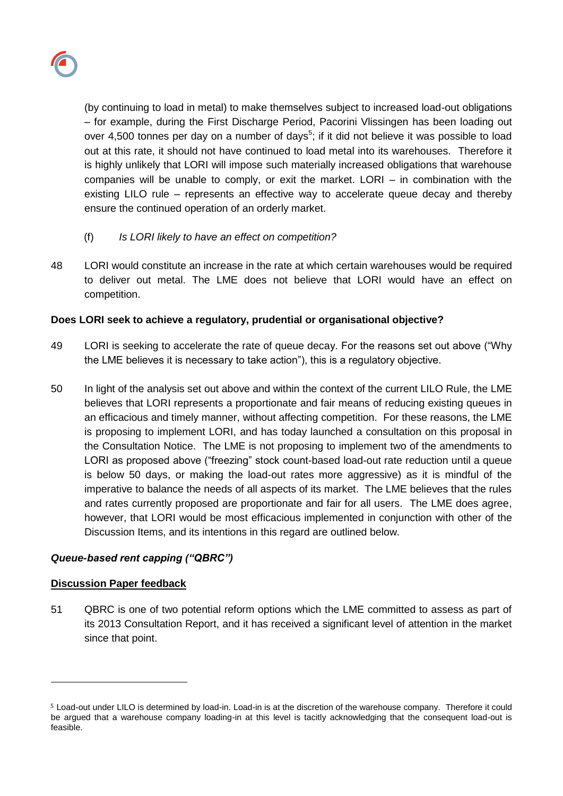

(by continuing to load in metal) to make themselves subject to increased load-out obligations – for example, during the First Discharge Period, Pacorini Vlissingen has been loading out over 4,500 tonnes per day on a number of days<sup>5</sup>; if it did not believe it was possible to load out at this rate, it should not have continued to load metal into its warehouses. Therefore it is highly unlikely that LORI will impose such materially increased obligations that warehouse companies will be unable to comply, or exit the market. LORI – in combination with the existing LILO rule – represents an effective way to accelerate queue decay and thereby ensure the continued operation of an orderly market.

- (f) *Is LORI likely to have an effect on competition?*
- 48 LORI would constitute an increase in the rate at which certain warehouses would be required to deliver out metal. The LME does not believe that LORI would have an effect on competition.

# **Does LORI seek to achieve a regulatory, prudential or organisational objective?**

- 49 LORI is seeking to accelerate the rate of queue decay. For the reasons set out above ("Why the LME believes it is necessary to take action"), this is a regulatory objective.
- 50 In light of the analysis set out above and within the context of the current LILO Rule, the LME believes that LORI represents a proportionate and fair means of reducing existing queues in an efficacious and timely manner, without affecting competition. For these reasons, the LME is proposing to implement LORI, and has today launched a consultation on this proposal in the Consultation Notice. The LME is not proposing to implement two of the amendments to LORI as proposed above ("freezing" stock count-based load-out rate reduction until a queue is below 50 days, or making the load-out rates more aggressive) as it is mindful of the imperative to balance the needs of all aspects of its market. The LME believes that the rules and rates currently proposed are proportionate and fair for all users. The LME does agree, however, that LORI would be most efficacious implemented in conjunction with other of the Discussion Items, and its intentions in this regard are outlined below.

# *Queue-based rent capping ("QBRC")*

### **Discussion Paper feedback**

l

51 QBRC is one of two potential reform options which the LME committed to assess as part of its 2013 Consultation Report, and it has received a significant level of attention in the market since that point.

<sup>5</sup> Load-out under LILO is determined by load-in. Load-in is at the discretion of the warehouse company. Therefore it could be argued that a warehouse company loading-in at this level is tacitly acknowledging that the consequent load-out is feasible.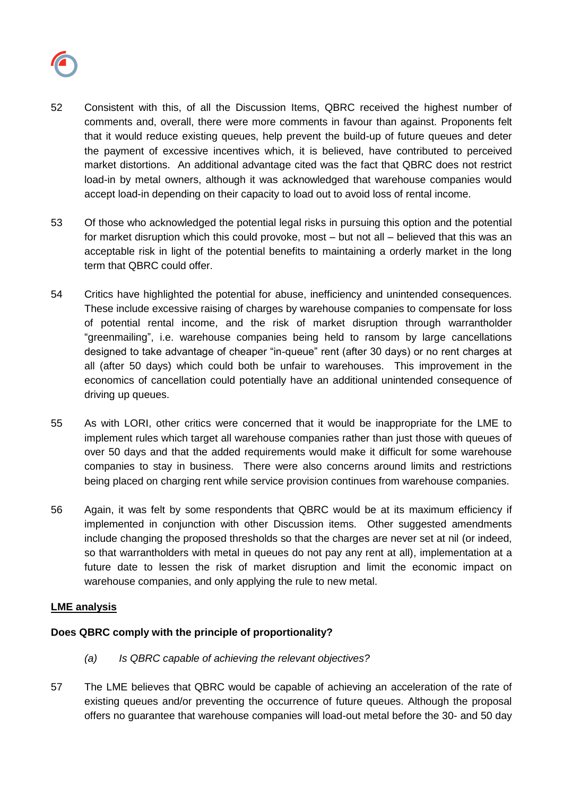

- 52 Consistent with this, of all the Discussion Items, QBRC received the highest number of comments and, overall, there were more comments in favour than against. Proponents felt that it would reduce existing queues, help prevent the build-up of future queues and deter the payment of excessive incentives which, it is believed, have contributed to perceived market distortions. An additional advantage cited was the fact that QBRC does not restrict load-in by metal owners, although it was acknowledged that warehouse companies would accept load-in depending on their capacity to load out to avoid loss of rental income.
- 53 Of those who acknowledged the potential legal risks in pursuing this option and the potential for market disruption which this could provoke, most – but not all – believed that this was an acceptable risk in light of the potential benefits to maintaining a orderly market in the long term that QBRC could offer.
- 54 Critics have highlighted the potential for abuse, inefficiency and unintended consequences. These include excessive raising of charges by warehouse companies to compensate for loss of potential rental income, and the risk of market disruption through warrantholder "greenmailing", i.e. warehouse companies being held to ransom by large cancellations designed to take advantage of cheaper "in-queue" rent (after 30 days) or no rent charges at all (after 50 days) which could both be unfair to warehouses. This improvement in the economics of cancellation could potentially have an additional unintended consequence of driving up queues.
- 55 As with LORI, other critics were concerned that it would be inappropriate for the LME to implement rules which target all warehouse companies rather than just those with queues of over 50 days and that the added requirements would make it difficult for some warehouse companies to stay in business. There were also concerns around limits and restrictions being placed on charging rent while service provision continues from warehouse companies.
- 56 Again, it was felt by some respondents that QBRC would be at its maximum efficiency if implemented in conjunction with other Discussion items. Other suggested amendments include changing the proposed thresholds so that the charges are never set at nil (or indeed, so that warrantholders with metal in queues do not pay any rent at all), implementation at a future date to lessen the risk of market disruption and limit the economic impact on warehouse companies, and only applying the rule to new metal.

### **LME analysis**

# **Does QBRC comply with the principle of proportionality?**

- *(a) Is QBRC capable of achieving the relevant objectives?*
- 57 The LME believes that QBRC would be capable of achieving an acceleration of the rate of existing queues and/or preventing the occurrence of future queues. Although the proposal offers no guarantee that warehouse companies will load-out metal before the 30- and 50 day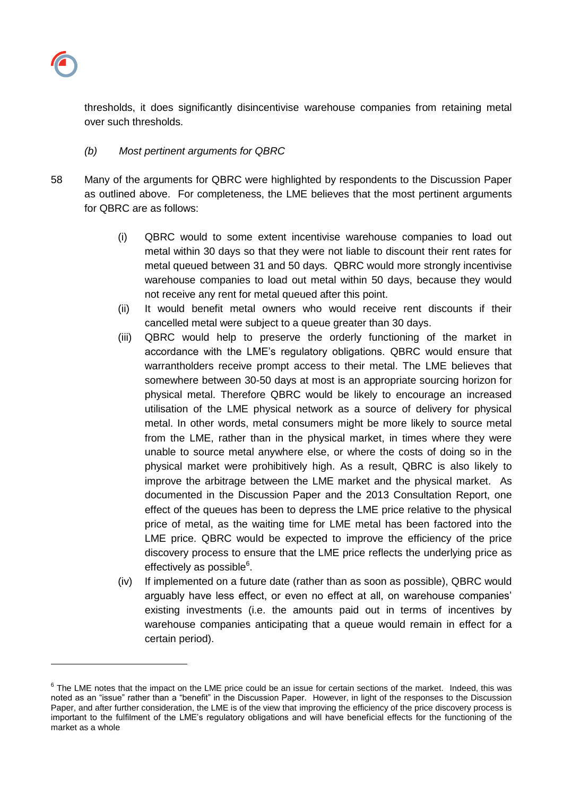

 $\overline{a}$ 

thresholds, it does significantly disincentivise warehouse companies from retaining metal over such thresholds.

## *(b) Most pertinent arguments for QBRC*

- 58 Many of the arguments for QBRC were highlighted by respondents to the Discussion Paper as outlined above. For completeness, the LME believes that the most pertinent arguments for QBRC are as follows:
	- (i) QBRC would to some extent incentivise warehouse companies to load out metal within 30 days so that they were not liable to discount their rent rates for metal queued between 31 and 50 days. QBRC would more strongly incentivise warehouse companies to load out metal within 50 days, because they would not receive any rent for metal queued after this point.
	- (ii) It would benefit metal owners who would receive rent discounts if their cancelled metal were subject to a queue greater than 30 days.
	- (iii) QBRC would help to preserve the orderly functioning of the market in accordance with the LME's regulatory obligations. QBRC would ensure that warrantholders receive prompt access to their metal. The LME believes that somewhere between 30-50 days at most is an appropriate sourcing horizon for physical metal. Therefore QBRC would be likely to encourage an increased utilisation of the LME physical network as a source of delivery for physical metal. In other words, metal consumers might be more likely to source metal from the LME, rather than in the physical market, in times where they were unable to source metal anywhere else, or where the costs of doing so in the physical market were prohibitively high. As a result, QBRC is also likely to improve the arbitrage between the LME market and the physical market. As documented in the Discussion Paper and the 2013 Consultation Report, one effect of the queues has been to depress the LME price relative to the physical price of metal, as the waiting time for LME metal has been factored into the LME price. QBRC would be expected to improve the efficiency of the price discovery process to ensure that the LME price reflects the underlying price as effectively as possible<sup>6</sup>.
	- (iv) If implemented on a future date (rather than as soon as possible), QBRC would arguably have less effect, or even no effect at all, on warehouse companies' existing investments (i.e. the amounts paid out in terms of incentives by warehouse companies anticipating that a queue would remain in effect for a certain period).

 $6$  The LME notes that the impact on the LME price could be an issue for certain sections of the market. Indeed, this was noted as an "issue" rather than a "benefit" in the Discussion Paper. However, in light of the responses to the Discussion Paper, and after further consideration, the LME is of the view that improving the efficiency of the price discovery process is important to the fulfilment of the LME's regulatory obligations and will have beneficial effects for the functioning of the market as a whole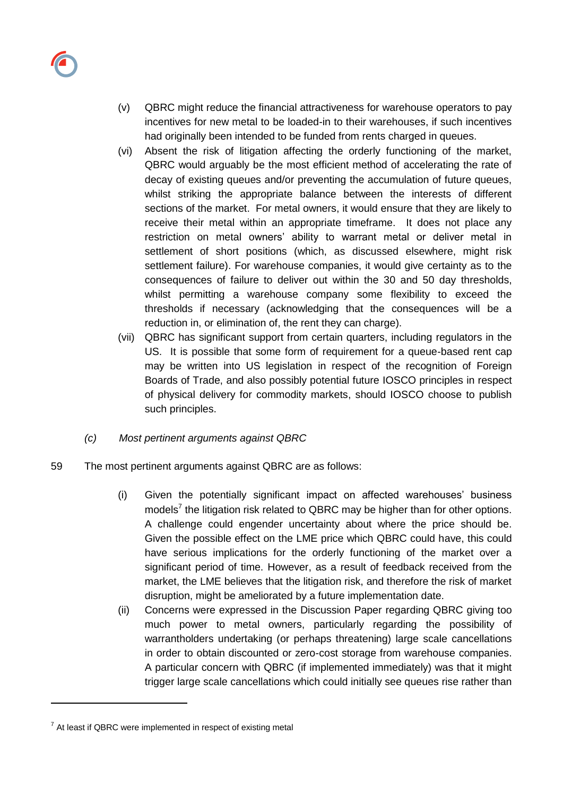

- (v) QBRC might reduce the financial attractiveness for warehouse operators to pay incentives for new metal to be loaded-in to their warehouses, if such incentives had originally been intended to be funded from rents charged in queues.
- (vi) Absent the risk of litigation affecting the orderly functioning of the market, QBRC would arguably be the most efficient method of accelerating the rate of decay of existing queues and/or preventing the accumulation of future queues, whilst striking the appropriate balance between the interests of different sections of the market. For metal owners, it would ensure that they are likely to receive their metal within an appropriate timeframe. It does not place any restriction on metal owners' ability to warrant metal or deliver metal in settlement of short positions (which, as discussed elsewhere, might risk settlement failure). For warehouse companies, it would give certainty as to the consequences of failure to deliver out within the 30 and 50 day thresholds, whilst permitting a warehouse company some flexibility to exceed the thresholds if necessary (acknowledging that the consequences will be a reduction in, or elimination of, the rent they can charge).
- (vii) QBRC has significant support from certain quarters, including regulators in the US. It is possible that some form of requirement for a queue-based rent cap may be written into US legislation in respect of the recognition of Foreign Boards of Trade, and also possibly potential future IOSCO principles in respect of physical delivery for commodity markets, should IOSCO choose to publish such principles.
- *(c) Most pertinent arguments against QBRC*
- 59 The most pertinent arguments against QBRC are as follows:
	- (i) Given the potentially significant impact on affected warehouses' business models<sup>7</sup> the litigation risk related to QBRC may be higher than for other options. A challenge could engender uncertainty about where the price should be. Given the possible effect on the LME price which QBRC could have, this could have serious implications for the orderly functioning of the market over a significant period of time. However, as a result of feedback received from the market, the LME believes that the litigation risk, and therefore the risk of market disruption, might be ameliorated by a future implementation date.
	- (ii) Concerns were expressed in the Discussion Paper regarding QBRC giving too much power to metal owners, particularly regarding the possibility of warrantholders undertaking (or perhaps threatening) large scale cancellations in order to obtain discounted or zero-cost storage from warehouse companies. A particular concern with QBRC (if implemented immediately) was that it might trigger large scale cancellations which could initially see queues rise rather than

l

 $7$  At least if QBRC were implemented in respect of existing metal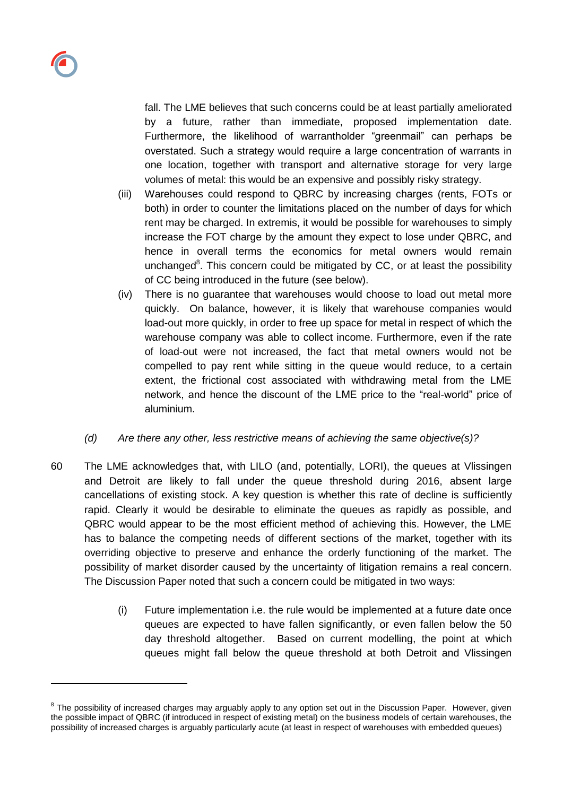l

fall. The LME believes that such concerns could be at least partially ameliorated by a future, rather than immediate, proposed implementation date. Furthermore, the likelihood of warrantholder "greenmail" can perhaps be overstated. Such a strategy would require a large concentration of warrants in one location, together with transport and alternative storage for very large volumes of metal: this would be an expensive and possibly risky strategy.

- (iii) Warehouses could respond to QBRC by increasing charges (rents, FOTs or both) in order to counter the limitations placed on the number of days for which rent may be charged. In extremis, it would be possible for warehouses to simply increase the FOT charge by the amount they expect to lose under QBRC, and hence in overall terms the economics for metal owners would remain unchanged $8$ . This concern could be mitigated by CC, or at least the possibility of CC being introduced in the future (see below).
- (iv) There is no guarantee that warehouses would choose to load out metal more quickly. On balance, however, it is likely that warehouse companies would load-out more quickly, in order to free up space for metal in respect of which the warehouse company was able to collect income. Furthermore, even if the rate of load-out were not increased, the fact that metal owners would not be compelled to pay rent while sitting in the queue would reduce, to a certain extent, the frictional cost associated with withdrawing metal from the LME network, and hence the discount of the LME price to the "real-world" price of aluminium.
- *(d) Are there any other, less restrictive means of achieving the same objective(s)?*
- 60 The LME acknowledges that, with LILO (and, potentially, LORI), the queues at Vlissingen and Detroit are likely to fall under the queue threshold during 2016, absent large cancellations of existing stock. A key question is whether this rate of decline is sufficiently rapid. Clearly it would be desirable to eliminate the queues as rapidly as possible, and QBRC would appear to be the most efficient method of achieving this. However, the LME has to balance the competing needs of different sections of the market, together with its overriding objective to preserve and enhance the orderly functioning of the market. The possibility of market disorder caused by the uncertainty of litigation remains a real concern. The Discussion Paper noted that such a concern could be mitigated in two ways:
	- (i) Future implementation i.e. the rule would be implemented at a future date once queues are expected to have fallen significantly, or even fallen below the 50 day threshold altogether. Based on current modelling, the point at which queues might fall below the queue threshold at both Detroit and Vlissingen

<sup>&</sup>lt;sup>8</sup> The possibility of increased charges may arguably apply to any option set out in the Discussion Paper. However, given the possible impact of QBRC (if introduced in respect of existing metal) on the business models of certain warehouses, the possibility of increased charges is arguably particularly acute (at least in respect of warehouses with embedded queues)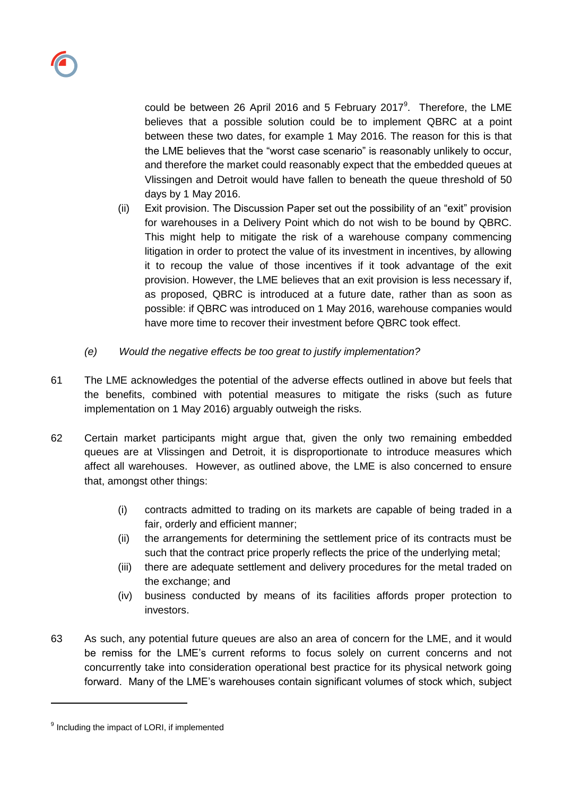could be between 26 April 2016 and 5 February 2017 $9$ . Therefore, the LME believes that a possible solution could be to implement QBRC at a point between these two dates, for example 1 May 2016. The reason for this is that the LME believes that the "worst case scenario" is reasonably unlikely to occur, and therefore the market could reasonably expect that the embedded queues at Vlissingen and Detroit would have fallen to beneath the queue threshold of 50 days by 1 May 2016.

- (ii) Exit provision. The Discussion Paper set out the possibility of an "exit" provision for warehouses in a Delivery Point which do not wish to be bound by QBRC. This might help to mitigate the risk of a warehouse company commencing litigation in order to protect the value of its investment in incentives, by allowing it to recoup the value of those incentives if it took advantage of the exit provision. However, the LME believes that an exit provision is less necessary if, as proposed, QBRC is introduced at a future date, rather than as soon as possible: if QBRC was introduced on 1 May 2016, warehouse companies would have more time to recover their investment before QBRC took effect.
- *(e) Would the negative effects be too great to justify implementation?*
- 61 The LME acknowledges the potential of the adverse effects outlined in above but feels that the benefits, combined with potential measures to mitigate the risks (such as future implementation on 1 May 2016) arguably outweigh the risks.
- 62 Certain market participants might argue that, given the only two remaining embedded queues are at Vlissingen and Detroit, it is disproportionate to introduce measures which affect all warehouses. However, as outlined above, the LME is also concerned to ensure that, amongst other things:
	- (i) contracts admitted to trading on its markets are capable of being traded in a fair, orderly and efficient manner;
	- (ii) the arrangements for determining the settlement price of its contracts must be such that the contract price properly reflects the price of the underlying metal;
	- (iii) there are adequate settlement and delivery procedures for the metal traded on the exchange; and
	- (iv) business conducted by means of its facilities affords proper protection to investors.
- 63 As such, any potential future queues are also an area of concern for the LME, and it would be remiss for the LME's current reforms to focus solely on current concerns and not concurrently take into consideration operational best practice for its physical network going forward. Many of the LME's warehouses contain significant volumes of stock which, subject

l

<sup>&</sup>lt;sup>9</sup> Including the impact of LORI, if implemented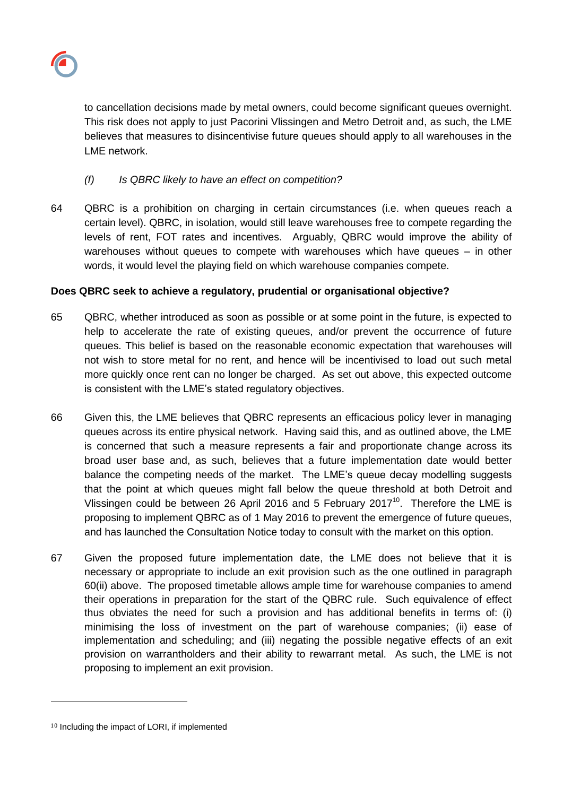

to cancellation decisions made by metal owners, could become significant queues overnight. This risk does not apply to just Pacorini Vlissingen and Metro Detroit and, as such, the LME believes that measures to disincentivise future queues should apply to all warehouses in the LME network.

# *(f) Is QBRC likely to have an effect on competition?*

64 QBRC is a prohibition on charging in certain circumstances (i.e. when queues reach a certain level). QBRC, in isolation, would still leave warehouses free to compete regarding the levels of rent, FOT rates and incentives. Arguably, QBRC would improve the ability of warehouses without queues to compete with warehouses which have queues – in other words, it would level the playing field on which warehouse companies compete.

# **Does QBRC seek to achieve a regulatory, prudential or organisational objective?**

- 65 QBRC, whether introduced as soon as possible or at some point in the future, is expected to help to accelerate the rate of existing queues, and/or prevent the occurrence of future queues. This belief is based on the reasonable economic expectation that warehouses will not wish to store metal for no rent, and hence will be incentivised to load out such metal more quickly once rent can no longer be charged. As set out above, this expected outcome is consistent with the LME's stated regulatory objectives.
- 66 Given this, the LME believes that QBRC represents an efficacious policy lever in managing queues across its entire physical network. Having said this, and as outlined above, the LME is concerned that such a measure represents a fair and proportionate change across its broad user base and, as such, believes that a future implementation date would better balance the competing needs of the market. The LME's queue decay modelling suggests that the point at which queues might fall below the queue threshold at both Detroit and Vlissingen could be between 26 April 2016 and 5 February 2017<sup>10</sup>. Therefore the LME is proposing to implement QBRC as of 1 May 2016 to prevent the emergence of future queues, and has launched the Consultation Notice today to consult with the market on this option.
- 67 Given the proposed future implementation date, the LME does not believe that it is necessary or appropriate to include an exit provision such as the one outlined in paragraph 60(ii) above. The proposed timetable allows ample time for warehouse companies to amend their operations in preparation for the start of the QBRC rule. Such equivalence of effect thus obviates the need for such a provision and has additional benefits in terms of: (i) minimising the loss of investment on the part of warehouse companies; (ii) ease of implementation and scheduling; and (iii) negating the possible negative effects of an exit provision on warrantholders and their ability to rewarrant metal. As such, the LME is not proposing to implement an exit provision.

l

<sup>10</sup> Including the impact of LORI, if implemented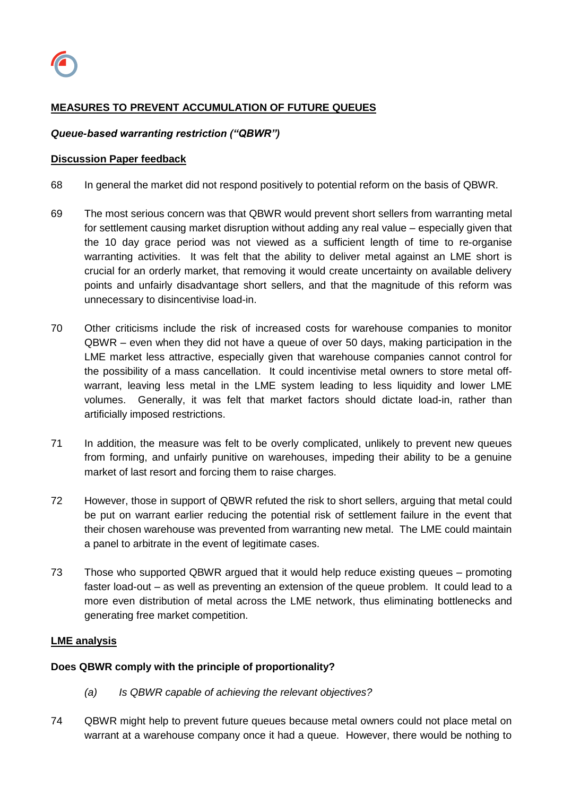

# **MEASURES TO PREVENT ACCUMULATION OF FUTURE QUEUES**

#### *Queue-based warranting restriction ("QBWR")*

#### **Discussion Paper feedback**

- 68 In general the market did not respond positively to potential reform on the basis of QBWR.
- 69 The most serious concern was that QBWR would prevent short sellers from warranting metal for settlement causing market disruption without adding any real value – especially given that the 10 day grace period was not viewed as a sufficient length of time to re-organise warranting activities. It was felt that the ability to deliver metal against an LME short is crucial for an orderly market, that removing it would create uncertainty on available delivery points and unfairly disadvantage short sellers, and that the magnitude of this reform was unnecessary to disincentivise load-in.
- 70 Other criticisms include the risk of increased costs for warehouse companies to monitor QBWR – even when they did not have a queue of over 50 days, making participation in the LME market less attractive, especially given that warehouse companies cannot control for the possibility of a mass cancellation. It could incentivise metal owners to store metal offwarrant, leaving less metal in the LME system leading to less liquidity and lower LME volumes. Generally, it was felt that market factors should dictate load-in, rather than artificially imposed restrictions.
- 71 In addition, the measure was felt to be overly complicated, unlikely to prevent new queues from forming, and unfairly punitive on warehouses, impeding their ability to be a genuine market of last resort and forcing them to raise charges.
- 72 However, those in support of QBWR refuted the risk to short sellers, arguing that metal could be put on warrant earlier reducing the potential risk of settlement failure in the event that their chosen warehouse was prevented from warranting new metal. The LME could maintain a panel to arbitrate in the event of legitimate cases.
- 73 Those who supported QBWR argued that it would help reduce existing queues promoting faster load-out – as well as preventing an extension of the queue problem. It could lead to a more even distribution of metal across the LME network, thus eliminating bottlenecks and generating free market competition.

#### **LME analysis**

#### **Does QBWR comply with the principle of proportionality?**

- *(a) Is QBWR capable of achieving the relevant objectives?*
- 74 QBWR might help to prevent future queues because metal owners could not place metal on warrant at a warehouse company once it had a queue. However, there would be nothing to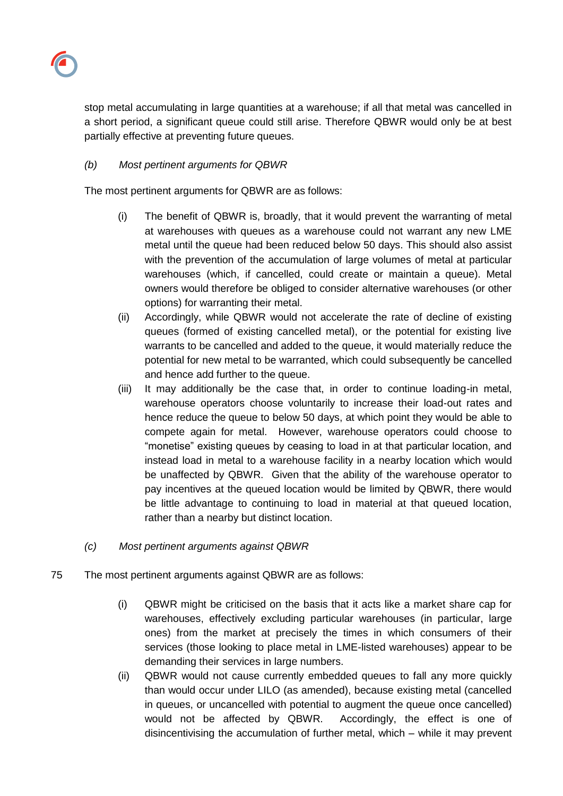

stop metal accumulating in large quantities at a warehouse; if all that metal was cancelled in a short period, a significant queue could still arise. Therefore QBWR would only be at best partially effective at preventing future queues.

# *(b) Most pertinent arguments for QBWR*

The most pertinent arguments for QBWR are as follows:

- (i) The benefit of QBWR is, broadly, that it would prevent the warranting of metal at warehouses with queues as a warehouse could not warrant any new LME metal until the queue had been reduced below 50 days. This should also assist with the prevention of the accumulation of large volumes of metal at particular warehouses (which, if cancelled, could create or maintain a queue). Metal owners would therefore be obliged to consider alternative warehouses (or other options) for warranting their metal.
- (ii) Accordingly, while QBWR would not accelerate the rate of decline of existing queues (formed of existing cancelled metal), or the potential for existing live warrants to be cancelled and added to the queue, it would materially reduce the potential for new metal to be warranted, which could subsequently be cancelled and hence add further to the queue.
- (iii) It may additionally be the case that, in order to continue loading-in metal, warehouse operators choose voluntarily to increase their load-out rates and hence reduce the queue to below 50 days, at which point they would be able to compete again for metal. However, warehouse operators could choose to "monetise" existing queues by ceasing to load in at that particular location, and instead load in metal to a warehouse facility in a nearby location which would be unaffected by QBWR. Given that the ability of the warehouse operator to pay incentives at the queued location would be limited by QBWR, there would be little advantage to continuing to load in material at that queued location, rather than a nearby but distinct location.
- *(c) Most pertinent arguments against QBWR*
- 75 The most pertinent arguments against QBWR are as follows:
	- (i) QBWR might be criticised on the basis that it acts like a market share cap for warehouses, effectively excluding particular warehouses (in particular, large ones) from the market at precisely the times in which consumers of their services (those looking to place metal in LME-listed warehouses) appear to be demanding their services in large numbers.
	- (ii) QBWR would not cause currently embedded queues to fall any more quickly than would occur under LILO (as amended), because existing metal (cancelled in queues, or uncancelled with potential to augment the queue once cancelled) would not be affected by QBWR. Accordingly, the effect is one of disincentivising the accumulation of further metal, which – while it may prevent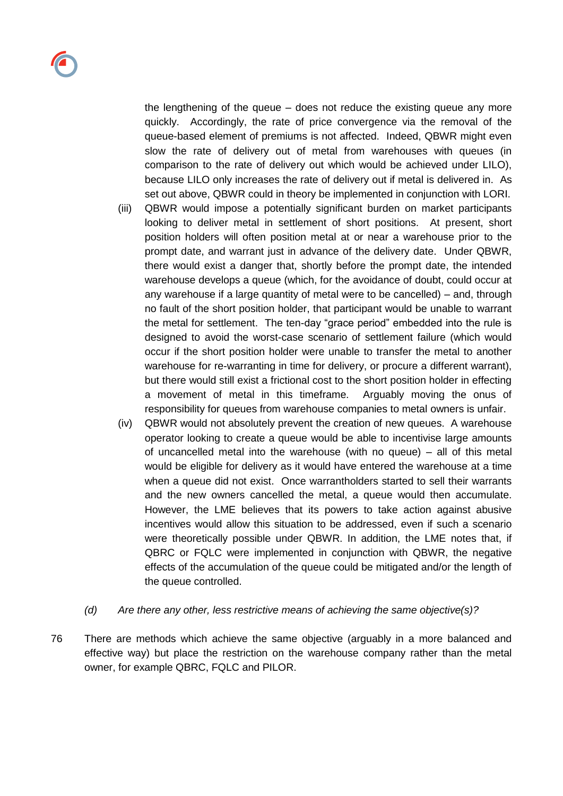the lengthening of the queue – does not reduce the existing queue any more quickly. Accordingly, the rate of price convergence via the removal of the queue-based element of premiums is not affected. Indeed, QBWR might even slow the rate of delivery out of metal from warehouses with queues (in comparison to the rate of delivery out which would be achieved under LILO), because LILO only increases the rate of delivery out if metal is delivered in. As set out above, QBWR could in theory be implemented in conjunction with LORI.

- (iii) QBWR would impose a potentially significant burden on market participants looking to deliver metal in settlement of short positions. At present, short position holders will often position metal at or near a warehouse prior to the prompt date, and warrant just in advance of the delivery date. Under QBWR, there would exist a danger that, shortly before the prompt date, the intended warehouse develops a queue (which, for the avoidance of doubt, could occur at any warehouse if a large quantity of metal were to be cancelled) – and, through no fault of the short position holder, that participant would be unable to warrant the metal for settlement. The ten-day "grace period" embedded into the rule is designed to avoid the worst-case scenario of settlement failure (which would occur if the short position holder were unable to transfer the metal to another warehouse for re-warranting in time for delivery, or procure a different warrant), but there would still exist a frictional cost to the short position holder in effecting a movement of metal in this timeframe. Arguably moving the onus of responsibility for queues from warehouse companies to metal owners is unfair.
- (iv) QBWR would not absolutely prevent the creation of new queues. A warehouse operator looking to create a queue would be able to incentivise large amounts of uncancelled metal into the warehouse (with no queue) – all of this metal would be eligible for delivery as it would have entered the warehouse at a time when a queue did not exist. Once warrantholders started to sell their warrants and the new owners cancelled the metal, a queue would then accumulate. However, the LME believes that its powers to take action against abusive incentives would allow this situation to be addressed, even if such a scenario were theoretically possible under QBWR. In addition, the LME notes that, if QBRC or FQLC were implemented in conjunction with QBWR, the negative effects of the accumulation of the queue could be mitigated and/or the length of the queue controlled.
- *(d) Are there any other, less restrictive means of achieving the same objective(s)?*
- 76 There are methods which achieve the same objective (arguably in a more balanced and effective way) but place the restriction on the warehouse company rather than the metal owner, for example QBRC, FQLC and PILOR.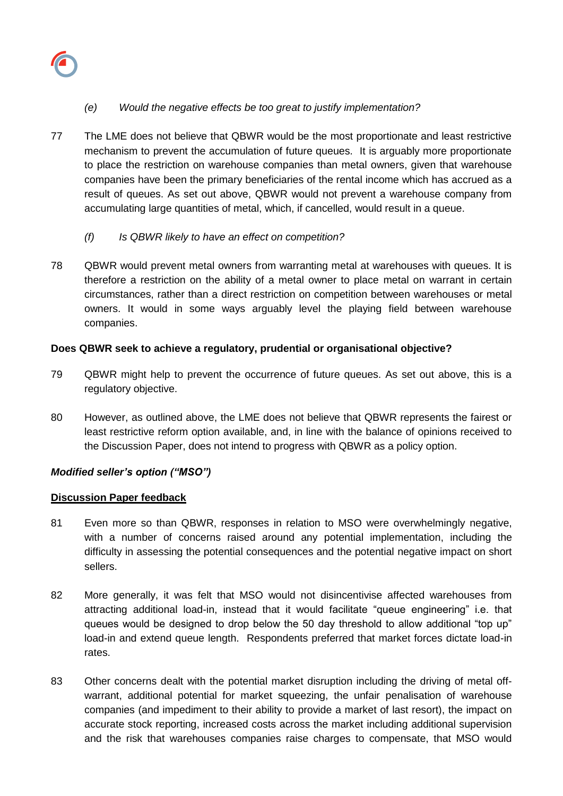

# *(e) Would the negative effects be too great to justify implementation?*

- 77 The LME does not believe that QBWR would be the most proportionate and least restrictive mechanism to prevent the accumulation of future queues. It is arguably more proportionate to place the restriction on warehouse companies than metal owners, given that warehouse companies have been the primary beneficiaries of the rental income which has accrued as a result of queues. As set out above, QBWR would not prevent a warehouse company from accumulating large quantities of metal, which, if cancelled, would result in a queue.
	- *(f) Is QBWR likely to have an effect on competition?*
- 78 QBWR would prevent metal owners from warranting metal at warehouses with queues. It is therefore a restriction on the ability of a metal owner to place metal on warrant in certain circumstances, rather than a direct restriction on competition between warehouses or metal owners. It would in some ways arguably level the playing field between warehouse companies.

## **Does QBWR seek to achieve a regulatory, prudential or organisational objective?**

- 79 QBWR might help to prevent the occurrence of future queues. As set out above, this is a regulatory objective.
- 80 However, as outlined above, the LME does not believe that QBWR represents the fairest or least restrictive reform option available, and, in line with the balance of opinions received to the Discussion Paper, does not intend to progress with QBWR as a policy option.

# *Modified seller's option ("MSO")*

### **Discussion Paper feedback**

- 81 Even more so than QBWR, responses in relation to MSO were overwhelmingly negative, with a number of concerns raised around any potential implementation, including the difficulty in assessing the potential consequences and the potential negative impact on short sellers.
- 82 More generally, it was felt that MSO would not disincentivise affected warehouses from attracting additional load-in, instead that it would facilitate "queue engineering" i.e. that queues would be designed to drop below the 50 day threshold to allow additional "top up" load-in and extend queue length. Respondents preferred that market forces dictate load-in rates.
- 83 Other concerns dealt with the potential market disruption including the driving of metal offwarrant, additional potential for market squeezing, the unfair penalisation of warehouse companies (and impediment to their ability to provide a market of last resort), the impact on accurate stock reporting, increased costs across the market including additional supervision and the risk that warehouses companies raise charges to compensate, that MSO would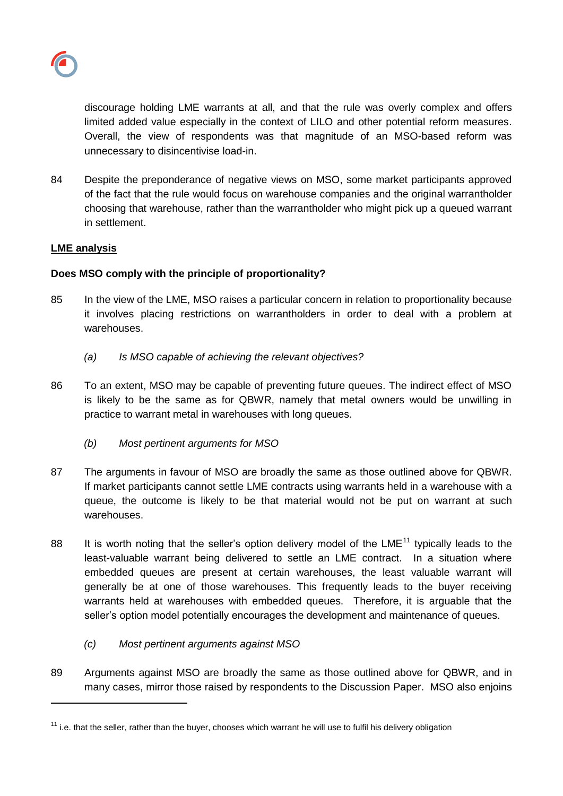

discourage holding LME warrants at all, and that the rule was overly complex and offers limited added value especially in the context of LILO and other potential reform measures. Overall, the view of respondents was that magnitude of an MSO-based reform was unnecessary to disincentivise load-in.

84 Despite the preponderance of negative views on MSO, some market participants approved of the fact that the rule would focus on warehouse companies and the original warrantholder choosing that warehouse, rather than the warrantholder who might pick up a queued warrant in settlement.

## **LME analysis**

l

## **Does MSO comply with the principle of proportionality?**

- 85 In the view of the LME, MSO raises a particular concern in relation to proportionality because it involves placing restrictions on warrantholders in order to deal with a problem at warehouses.
	- *(a) Is MSO capable of achieving the relevant objectives?*
- 86 To an extent, MSO may be capable of preventing future queues. The indirect effect of MSO is likely to be the same as for QBWR, namely that metal owners would be unwilling in practice to warrant metal in warehouses with long queues.
	- *(b) Most pertinent arguments for MSO*
- 87 The arguments in favour of MSO are broadly the same as those outlined above for QBWR. If market participants cannot settle LME contracts using warrants held in a warehouse with a queue, the outcome is likely to be that material would not be put on warrant at such warehouses.
- 88 It is worth noting that the seller's option delivery model of the LME<sup>11</sup> typically leads to the least-valuable warrant being delivered to settle an LME contract. In a situation where embedded queues are present at certain warehouses, the least valuable warrant will generally be at one of those warehouses. This frequently leads to the buyer receiving warrants held at warehouses with embedded queues. Therefore, it is arguable that the seller's option model potentially encourages the development and maintenance of queues.
	- *(c) Most pertinent arguments against MSO*
- 89 Arguments against MSO are broadly the same as those outlined above for QBWR, and in many cases, mirror those raised by respondents to the Discussion Paper. MSO also enjoins

 $11$  i.e. that the seller. rather than the buver, chooses which warrant he will use to fulfil his delivery obligation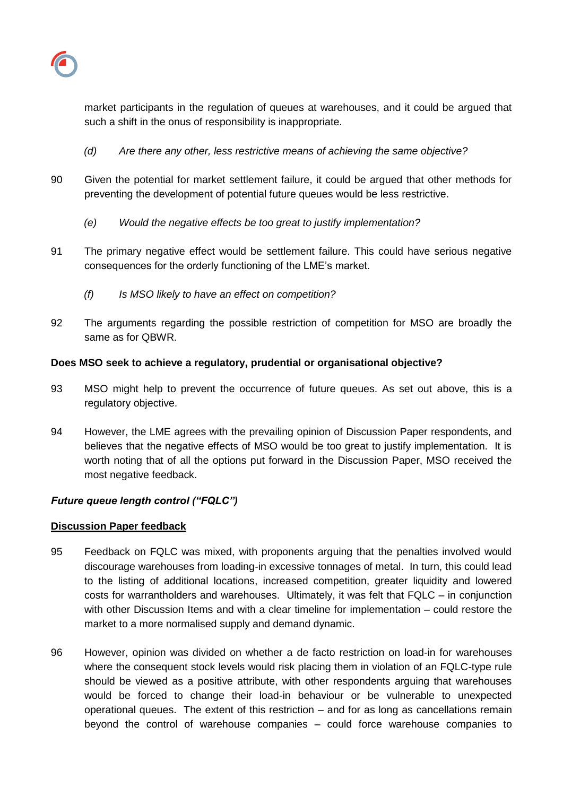

market participants in the regulation of queues at warehouses, and it could be argued that such a shift in the onus of responsibility is inappropriate.

- *(d) Are there any other, less restrictive means of achieving the same objective?*
- 90 Given the potential for market settlement failure, it could be argued that other methods for preventing the development of potential future queues would be less restrictive.
	- *(e) Would the negative effects be too great to justify implementation?*
- 91 The primary negative effect would be settlement failure. This could have serious negative consequences for the orderly functioning of the LME's market.
	- *(f) Is MSO likely to have an effect on competition?*
- 92 The arguments regarding the possible restriction of competition for MSO are broadly the same as for QBWR.

## **Does MSO seek to achieve a regulatory, prudential or organisational objective?**

- 93 MSO might help to prevent the occurrence of future queues. As set out above, this is a regulatory objective.
- 94 However, the LME agrees with the prevailing opinion of Discussion Paper respondents, and believes that the negative effects of MSO would be too great to justify implementation. It is worth noting that of all the options put forward in the Discussion Paper, MSO received the most negative feedback.

# *Future queue length control ("FQLC")*

### **Discussion Paper feedback**

- 95 Feedback on FQLC was mixed, with proponents arguing that the penalties involved would discourage warehouses from loading-in excessive tonnages of metal. In turn, this could lead to the listing of additional locations, increased competition, greater liquidity and lowered costs for warrantholders and warehouses. Ultimately, it was felt that FQLC – in conjunction with other Discussion Items and with a clear timeline for implementation – could restore the market to a more normalised supply and demand dynamic.
- 96 However, opinion was divided on whether a de facto restriction on load-in for warehouses where the consequent stock levels would risk placing them in violation of an FQLC-type rule should be viewed as a positive attribute, with other respondents arguing that warehouses would be forced to change their load-in behaviour or be vulnerable to unexpected operational queues. The extent of this restriction – and for as long as cancellations remain beyond the control of warehouse companies – could force warehouse companies to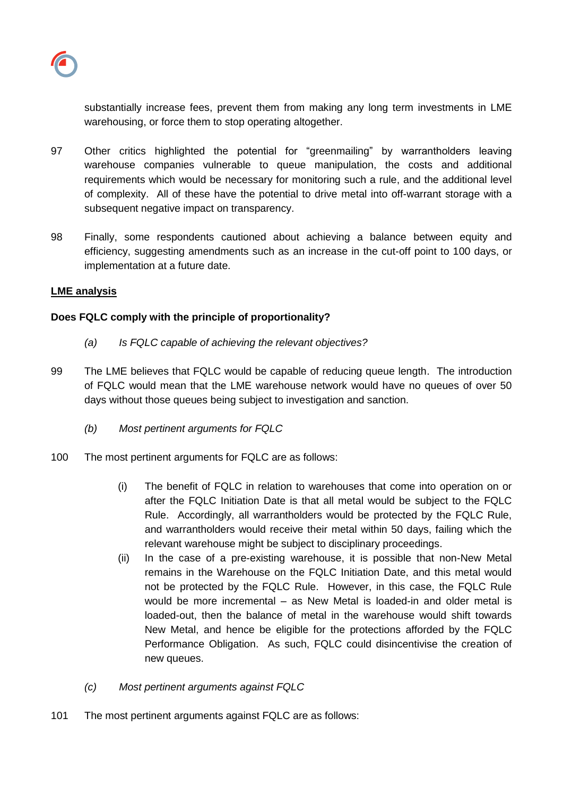

substantially increase fees, prevent them from making any long term investments in LME warehousing, or force them to stop operating altogether.

- 97 Other critics highlighted the potential for "greenmailing" by warrantholders leaving warehouse companies vulnerable to queue manipulation, the costs and additional requirements which would be necessary for monitoring such a rule, and the additional level of complexity. All of these have the potential to drive metal into off-warrant storage with a subsequent negative impact on transparency.
- 98 Finally, some respondents cautioned about achieving a balance between equity and efficiency, suggesting amendments such as an increase in the cut-off point to 100 days, or implementation at a future date.

### **LME analysis**

## **Does FQLC comply with the principle of proportionality?**

- *(a) Is FQLC capable of achieving the relevant objectives?*
- 99 The LME believes that FQLC would be capable of reducing queue length. The introduction of FQLC would mean that the LME warehouse network would have no queues of over 50 days without those queues being subject to investigation and sanction.
	- *(b) Most pertinent arguments for FQLC*
- 100 The most pertinent arguments for FQLC are as follows:
	- (i) The benefit of FQLC in relation to warehouses that come into operation on or after the FQLC Initiation Date is that all metal would be subject to the FQLC Rule. Accordingly, all warrantholders would be protected by the FQLC Rule, and warrantholders would receive their metal within 50 days, failing which the relevant warehouse might be subject to disciplinary proceedings.
	- (ii) In the case of a pre-existing warehouse, it is possible that non-New Metal remains in the Warehouse on the FQLC Initiation Date, and this metal would not be protected by the FQLC Rule. However, in this case, the FQLC Rule would be more incremental – as New Metal is loaded-in and older metal is loaded-out, then the balance of metal in the warehouse would shift towards New Metal, and hence be eligible for the protections afforded by the FQLC Performance Obligation. As such, FQLC could disincentivise the creation of new queues.
	- *(c) Most pertinent arguments against FQLC*
- 101 The most pertinent arguments against FQLC are as follows: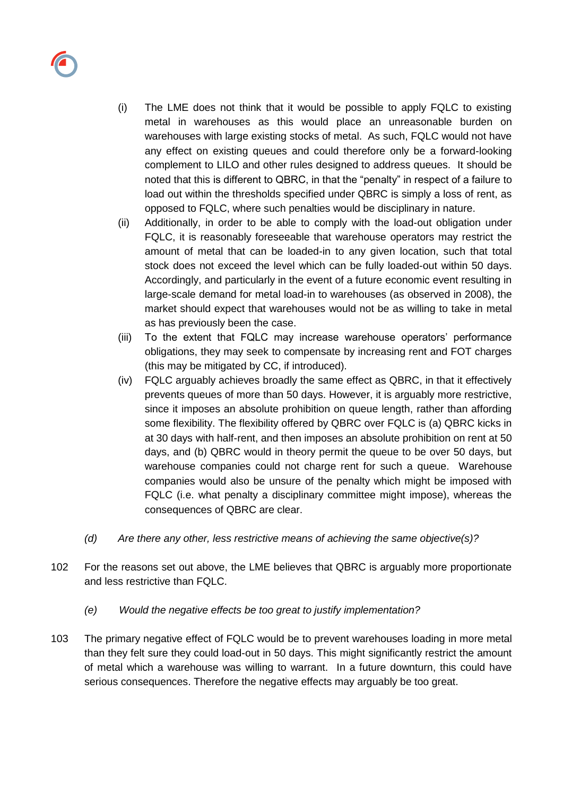

- (i) The LME does not think that it would be possible to apply FQLC to existing metal in warehouses as this would place an unreasonable burden on warehouses with large existing stocks of metal. As such, FQLC would not have any effect on existing queues and could therefore only be a forward-looking complement to LILO and other rules designed to address queues. It should be noted that this is different to QBRC, in that the "penalty" in respect of a failure to load out within the thresholds specified under QBRC is simply a loss of rent, as opposed to FQLC, where such penalties would be disciplinary in nature.
- (ii) Additionally, in order to be able to comply with the load-out obligation under FQLC, it is reasonably foreseeable that warehouse operators may restrict the amount of metal that can be loaded-in to any given location, such that total stock does not exceed the level which can be fully loaded-out within 50 days. Accordingly, and particularly in the event of a future economic event resulting in large-scale demand for metal load-in to warehouses (as observed in 2008), the market should expect that warehouses would not be as willing to take in metal as has previously been the case.
- (iii) To the extent that FQLC may increase warehouse operators' performance obligations, they may seek to compensate by increasing rent and FOT charges (this may be mitigated by CC, if introduced).
- (iv) FQLC arguably achieves broadly the same effect as QBRC, in that it effectively prevents queues of more than 50 days. However, it is arguably more restrictive, since it imposes an absolute prohibition on queue length, rather than affording some flexibility. The flexibility offered by QBRC over FQLC is (a) QBRC kicks in at 30 days with half-rent, and then imposes an absolute prohibition on rent at 50 days, and (b) QBRC would in theory permit the queue to be over 50 days, but warehouse companies could not charge rent for such a queue. Warehouse companies would also be unsure of the penalty which might be imposed with FQLC (i.e. what penalty a disciplinary committee might impose), whereas the consequences of QBRC are clear.
- *(d) Are there any other, less restrictive means of achieving the same objective(s)?*
- 102 For the reasons set out above, the LME believes that QBRC is arguably more proportionate and less restrictive than FQLC.
	- *(e) Would the negative effects be too great to justify implementation?*
- 103 The primary negative effect of FQLC would be to prevent warehouses loading in more metal than they felt sure they could load-out in 50 days. This might significantly restrict the amount of metal which a warehouse was willing to warrant. In a future downturn, this could have serious consequences. Therefore the negative effects may arguably be too great.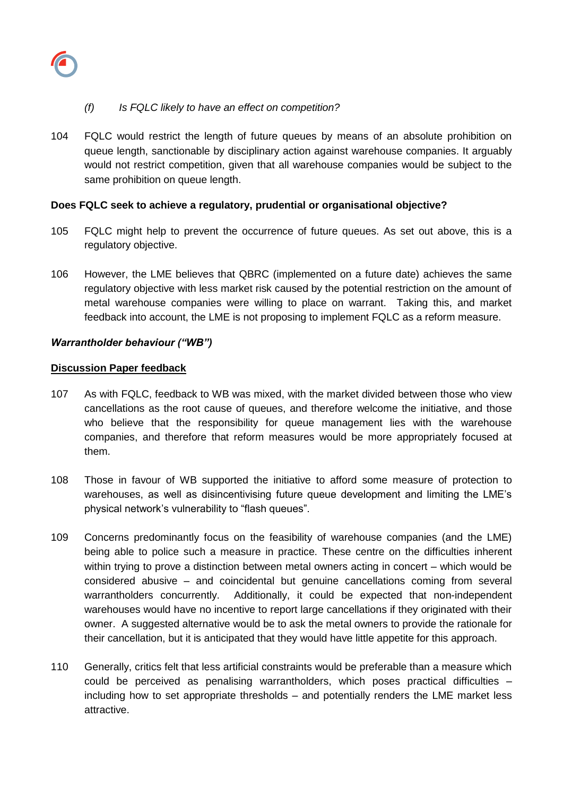

## *(f) Is FQLC likely to have an effect on competition?*

104 FQLC would restrict the length of future queues by means of an absolute prohibition on queue length, sanctionable by disciplinary action against warehouse companies. It arguably would not restrict competition, given that all warehouse companies would be subject to the same prohibition on queue length.

### **Does FQLC seek to achieve a regulatory, prudential or organisational objective?**

- 105 FQLC might help to prevent the occurrence of future queues. As set out above, this is a regulatory objective.
- 106 However, the LME believes that QBRC (implemented on a future date) achieves the same regulatory objective with less market risk caused by the potential restriction on the amount of metal warehouse companies were willing to place on warrant. Taking this, and market feedback into account, the LME is not proposing to implement FQLC as a reform measure.

### *Warrantholder behaviour ("WB")*

#### **Discussion Paper feedback**

- 107 As with FQLC, feedback to WB was mixed, with the market divided between those who view cancellations as the root cause of queues, and therefore welcome the initiative, and those who believe that the responsibility for queue management lies with the warehouse companies, and therefore that reform measures would be more appropriately focused at them.
- 108 Those in favour of WB supported the initiative to afford some measure of protection to warehouses, as well as disincentivising future queue development and limiting the LME's physical network's vulnerability to "flash queues".
- 109 Concerns predominantly focus on the feasibility of warehouse companies (and the LME) being able to police such a measure in practice. These centre on the difficulties inherent within trying to prove a distinction between metal owners acting in concert – which would be considered abusive – and coincidental but genuine cancellations coming from several warrantholders concurrently. Additionally, it could be expected that non-independent warehouses would have no incentive to report large cancellations if they originated with their owner. A suggested alternative would be to ask the metal owners to provide the rationale for their cancellation, but it is anticipated that they would have little appetite for this approach.
- 110 Generally, critics felt that less artificial constraints would be preferable than a measure which could be perceived as penalising warrantholders, which poses practical difficulties – including how to set appropriate thresholds – and potentially renders the LME market less attractive.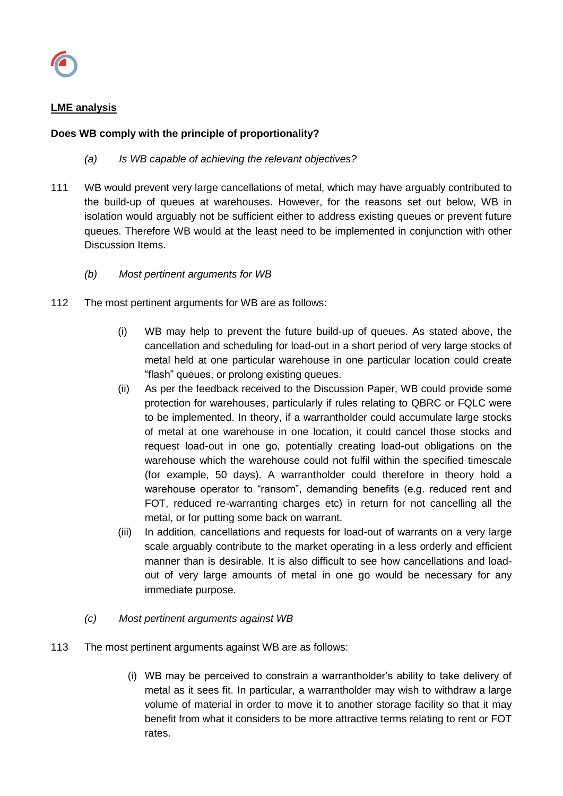

## **LME analysis**

## **Does WB comply with the principle of proportionality?**

- *(a) Is WB capable of achieving the relevant objectives?*
- 111 WB would prevent very large cancellations of metal, which may have arguably contributed to the build-up of queues at warehouses. However, for the reasons set out below, WB in isolation would arguably not be sufficient either to address existing queues or prevent future queues. Therefore WB would at the least need to be implemented in conjunction with other Discussion Items.
	- *(b) Most pertinent arguments for WB*
- 112 The most pertinent arguments for WB are as follows:
	- (i) WB may help to prevent the future build-up of queues. As stated above, the cancellation and scheduling for load-out in a short period of very large stocks of metal held at one particular warehouse in one particular location could create "flash" queues, or prolong existing queues.
	- (ii) As per the feedback received to the Discussion Paper, WB could provide some protection for warehouses, particularly if rules relating to QBRC or FQLC were to be implemented. In theory, if a warrantholder could accumulate large stocks of metal at one warehouse in one location, it could cancel those stocks and request load-out in one go, potentially creating load-out obligations on the warehouse which the warehouse could not fulfil within the specified timescale (for example, 50 days). A warrantholder could therefore in theory hold a warehouse operator to "ransom", demanding benefits (e.g. reduced rent and FOT, reduced re-warranting charges etc) in return for not cancelling all the metal, or for putting some back on warrant.
	- (iii) In addition, cancellations and requests for load-out of warrants on a very large scale arguably contribute to the market operating in a less orderly and efficient manner than is desirable. It is also difficult to see how cancellations and loadout of very large amounts of metal in one go would be necessary for any immediate purpose.
	- *(c) Most pertinent arguments against WB*
- 113 The most pertinent arguments against WB are as follows:
	- (i) WB may be perceived to constrain a warrantholder's ability to take delivery of metal as it sees fit. In particular, a warrantholder may wish to withdraw a large volume of material in order to move it to another storage facility so that it may benefit from what it considers to be more attractive terms relating to rent or FOT rates.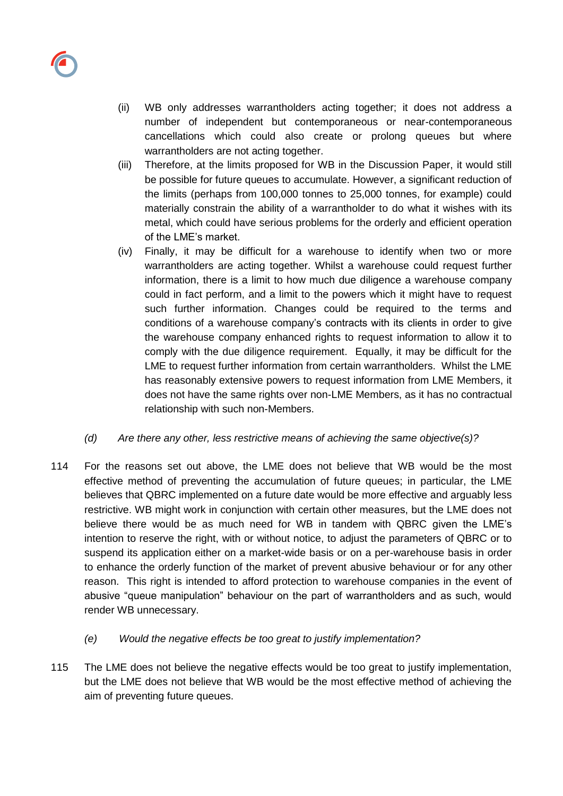

- (ii) WB only addresses warrantholders acting together; it does not address a number of independent but contemporaneous or near-contemporaneous cancellations which could also create or prolong queues but where warrantholders are not acting together.
- (iii) Therefore, at the limits proposed for WB in the Discussion Paper, it would still be possible for future queues to accumulate. However, a significant reduction of the limits (perhaps from 100,000 tonnes to 25,000 tonnes, for example) could materially constrain the ability of a warrantholder to do what it wishes with its metal, which could have serious problems for the orderly and efficient operation of the LME's market.
- (iv) Finally, it may be difficult for a warehouse to identify when two or more warrantholders are acting together. Whilst a warehouse could request further information, there is a limit to how much due diligence a warehouse company could in fact perform, and a limit to the powers which it might have to request such further information. Changes could be required to the terms and conditions of a warehouse company's contracts with its clients in order to give the warehouse company enhanced rights to request information to allow it to comply with the due diligence requirement. Equally, it may be difficult for the LME to request further information from certain warrantholders. Whilst the LME has reasonably extensive powers to request information from LME Members, it does not have the same rights over non-LME Members, as it has no contractual relationship with such non-Members.
- *(d) Are there any other, less restrictive means of achieving the same objective(s)?*
- 114 For the reasons set out above, the LME does not believe that WB would be the most effective method of preventing the accumulation of future queues; in particular, the LME believes that QBRC implemented on a future date would be more effective and arguably less restrictive. WB might work in conjunction with certain other measures, but the LME does not believe there would be as much need for WB in tandem with QBRC given the LME's intention to reserve the right, with or without notice, to adjust the parameters of QBRC or to suspend its application either on a market-wide basis or on a per-warehouse basis in order to enhance the orderly function of the market of prevent abusive behaviour or for any other reason. This right is intended to afford protection to warehouse companies in the event of abusive "queue manipulation" behaviour on the part of warrantholders and as such, would render WB unnecessary.
	- *(e) Would the negative effects be too great to justify implementation?*
- 115 The LME does not believe the negative effects would be too great to justify implementation, but the LME does not believe that WB would be the most effective method of achieving the aim of preventing future queues.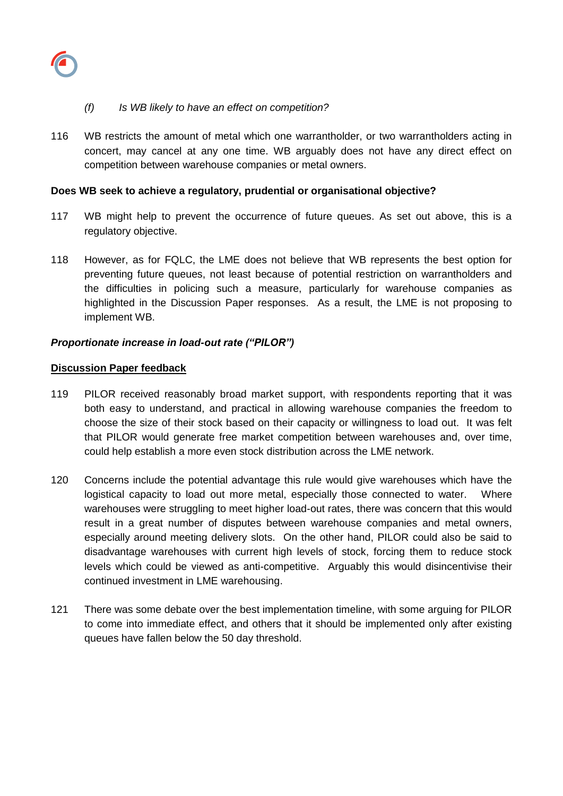

### *(f) Is WB likely to have an effect on competition?*

116 WB restricts the amount of metal which one warrantholder, or two warrantholders acting in concert, may cancel at any one time. WB arguably does not have any direct effect on competition between warehouse companies or metal owners.

#### **Does WB seek to achieve a regulatory, prudential or organisational objective?**

- 117 WB might help to prevent the occurrence of future queues. As set out above, this is a regulatory objective.
- 118 However, as for FQLC, the LME does not believe that WB represents the best option for preventing future queues, not least because of potential restriction on warrantholders and the difficulties in policing such a measure, particularly for warehouse companies as highlighted in the Discussion Paper responses. As a result, the LME is not proposing to implement WB.

### *Proportionate increase in load-out rate ("PILOR")*

#### **Discussion Paper feedback**

- 119 PILOR received reasonably broad market support, with respondents reporting that it was both easy to understand, and practical in allowing warehouse companies the freedom to choose the size of their stock based on their capacity or willingness to load out. It was felt that PILOR would generate free market competition between warehouses and, over time, could help establish a more even stock distribution across the LME network.
- 120 Concerns include the potential advantage this rule would give warehouses which have the logistical capacity to load out more metal, especially those connected to water. Where warehouses were struggling to meet higher load-out rates, there was concern that this would result in a great number of disputes between warehouse companies and metal owners, especially around meeting delivery slots. On the other hand, PILOR could also be said to disadvantage warehouses with current high levels of stock, forcing them to reduce stock levels which could be viewed as anti-competitive. Arguably this would disincentivise their continued investment in LME warehousing.
- 121 There was some debate over the best implementation timeline, with some arguing for PILOR to come into immediate effect, and others that it should be implemented only after existing queues have fallen below the 50 day threshold.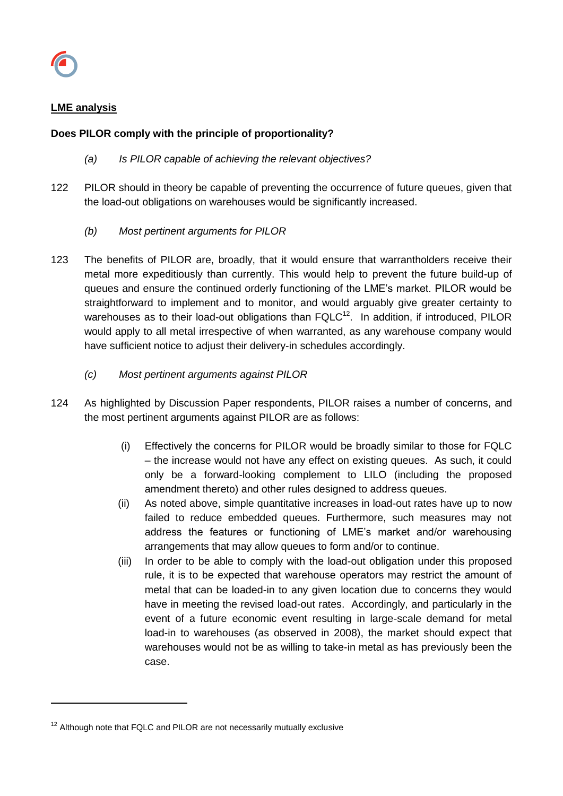

l

## **LME analysis**

## **Does PILOR comply with the principle of proportionality?**

- *(a) Is PILOR capable of achieving the relevant objectives?*
- 122 PILOR should in theory be capable of preventing the occurrence of future queues, given that the load-out obligations on warehouses would be significantly increased.
	- *(b) Most pertinent arguments for PILOR*
- 123 The benefits of PILOR are, broadly, that it would ensure that warrantholders receive their metal more expeditiously than currently. This would help to prevent the future build-up of queues and ensure the continued orderly functioning of the LME's market. PILOR would be straightforward to implement and to monitor, and would arguably give greater certainty to warehouses as to their load-out obligations than  $FQLC^{12}$ . In addition, if introduced, PILOR would apply to all metal irrespective of when warranted, as any warehouse company would have sufficient notice to adjust their delivery-in schedules accordingly.
	- *(c) Most pertinent arguments against PILOR*
- 124 As highlighted by Discussion Paper respondents, PILOR raises a number of concerns, and the most pertinent arguments against PILOR are as follows:
	- (i) Effectively the concerns for PILOR would be broadly similar to those for FQLC – the increase would not have any effect on existing queues. As such, it could only be a forward-looking complement to LILO (including the proposed amendment thereto) and other rules designed to address queues.
	- (ii) As noted above, simple quantitative increases in load-out rates have up to now failed to reduce embedded queues. Furthermore, such measures may not address the features or functioning of LME's market and/or warehousing arrangements that may allow queues to form and/or to continue.
	- (iii) In order to be able to comply with the load-out obligation under this proposed rule, it is to be expected that warehouse operators may restrict the amount of metal that can be loaded-in to any given location due to concerns they would have in meeting the revised load-out rates. Accordingly, and particularly in the event of a future economic event resulting in large-scale demand for metal load-in to warehouses (as observed in 2008), the market should expect that warehouses would not be as willing to take-in metal as has previously been the case.

 $12$  Although note that FQLC and PILOR are not necessarily mutually exclusive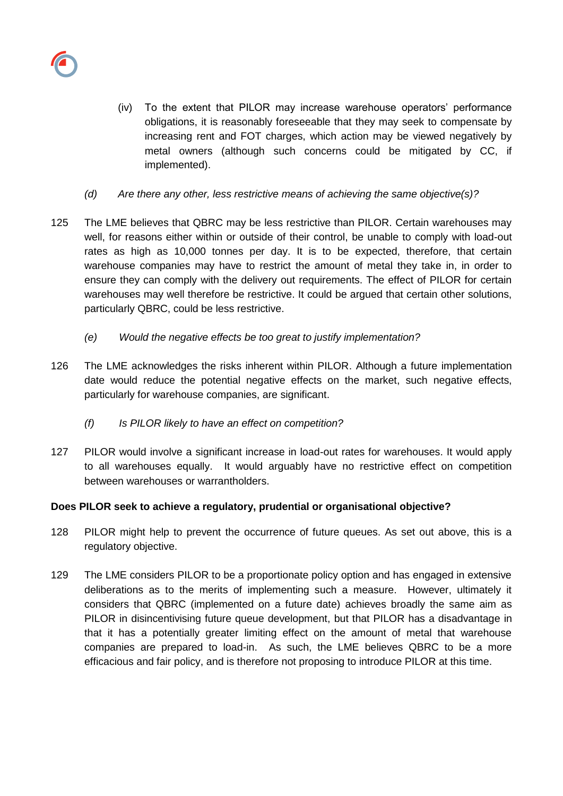

- (iv) To the extent that PILOR may increase warehouse operators' performance obligations, it is reasonably foreseeable that they may seek to compensate by increasing rent and FOT charges, which action may be viewed negatively by metal owners (although such concerns could be mitigated by CC, if implemented).
- *(d) Are there any other, less restrictive means of achieving the same objective(s)?*
- 125 The LME believes that QBRC may be less restrictive than PILOR. Certain warehouses may well, for reasons either within or outside of their control, be unable to comply with load-out rates as high as 10,000 tonnes per day. It is to be expected, therefore, that certain warehouse companies may have to restrict the amount of metal they take in, in order to ensure they can comply with the delivery out requirements. The effect of PILOR for certain warehouses may well therefore be restrictive. It could be argued that certain other solutions, particularly QBRC, could be less restrictive.
	- *(e) Would the negative effects be too great to justify implementation?*
- 126 The LME acknowledges the risks inherent within PILOR. Although a future implementation date would reduce the potential negative effects on the market, such negative effects, particularly for warehouse companies, are significant.
	- *(f) Is PILOR likely to have an effect on competition?*
- 127 PILOR would involve a significant increase in load-out rates for warehouses. It would apply to all warehouses equally. It would arguably have no restrictive effect on competition between warehouses or warrantholders.

# **Does PILOR seek to achieve a regulatory, prudential or organisational objective?**

- 128 PILOR might help to prevent the occurrence of future queues. As set out above, this is a regulatory objective.
- 129 The LME considers PILOR to be a proportionate policy option and has engaged in extensive deliberations as to the merits of implementing such a measure. However, ultimately it considers that QBRC (implemented on a future date) achieves broadly the same aim as PILOR in disincentivising future queue development, but that PILOR has a disadvantage in that it has a potentially greater limiting effect on the amount of metal that warehouse companies are prepared to load-in. As such, the LME believes QBRC to be a more efficacious and fair policy, and is therefore not proposing to introduce PILOR at this time.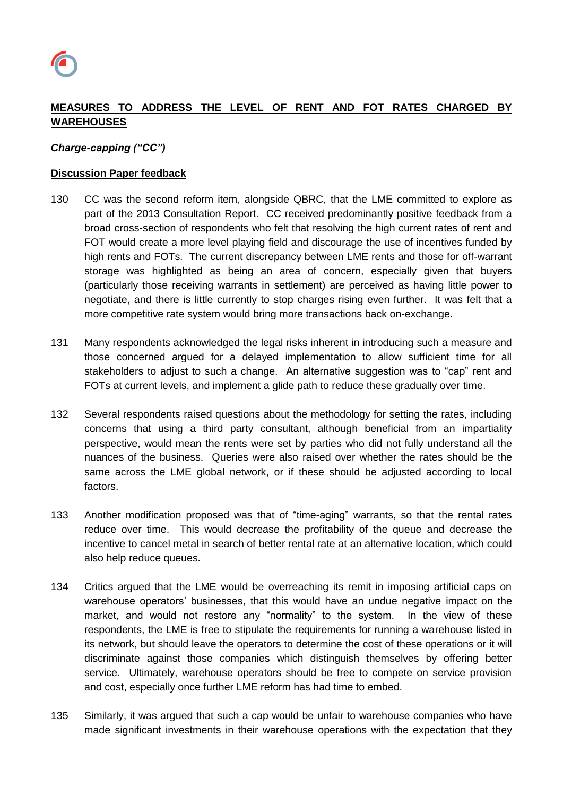

# **MEASURES TO ADDRESS THE LEVEL OF RENT AND FOT RATES CHARGED BY WAREHOUSES**

### *Charge-capping ("CC")*

### **Discussion Paper feedback**

- 130 CC was the second reform item, alongside QBRC, that the LME committed to explore as part of the 2013 Consultation Report. CC received predominantly positive feedback from a broad cross-section of respondents who felt that resolving the high current rates of rent and FOT would create a more level playing field and discourage the use of incentives funded by high rents and FOTs. The current discrepancy between LME rents and those for off-warrant storage was highlighted as being an area of concern, especially given that buyers (particularly those receiving warrants in settlement) are perceived as having little power to negotiate, and there is little currently to stop charges rising even further. It was felt that a more competitive rate system would bring more transactions back on-exchange.
- 131 Many respondents acknowledged the legal risks inherent in introducing such a measure and those concerned argued for a delayed implementation to allow sufficient time for all stakeholders to adjust to such a change. An alternative suggestion was to "cap" rent and FOTs at current levels, and implement a glide path to reduce these gradually over time.
- 132 Several respondents raised questions about the methodology for setting the rates, including concerns that using a third party consultant, although beneficial from an impartiality perspective, would mean the rents were set by parties who did not fully understand all the nuances of the business. Queries were also raised over whether the rates should be the same across the LME global network, or if these should be adjusted according to local factors.
- 133 Another modification proposed was that of "time-aging" warrants, so that the rental rates reduce over time. This would decrease the profitability of the queue and decrease the incentive to cancel metal in search of better rental rate at an alternative location, which could also help reduce queues.
- 134 Critics argued that the LME would be overreaching its remit in imposing artificial caps on warehouse operators' businesses, that this would have an undue negative impact on the market, and would not restore any "normality" to the system. In the view of these respondents, the LME is free to stipulate the requirements for running a warehouse listed in its network, but should leave the operators to determine the cost of these operations or it will discriminate against those companies which distinguish themselves by offering better service. Ultimately, warehouse operators should be free to compete on service provision and cost, especially once further LME reform has had time to embed.
- 135 Similarly, it was argued that such a cap would be unfair to warehouse companies who have made significant investments in their warehouse operations with the expectation that they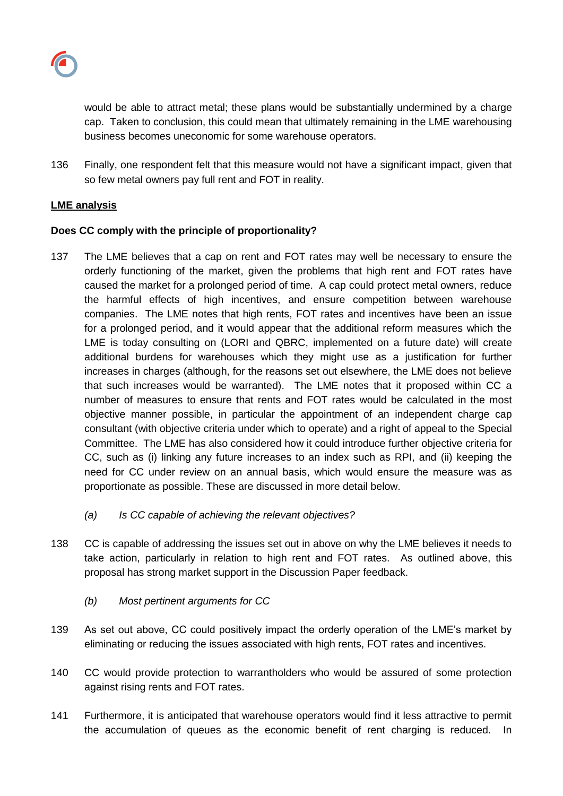

would be able to attract metal; these plans would be substantially undermined by a charge cap. Taken to conclusion, this could mean that ultimately remaining in the LME warehousing business becomes uneconomic for some warehouse operators.

136 Finally, one respondent felt that this measure would not have a significant impact, given that so few metal owners pay full rent and FOT in reality.

## **LME analysis**

## **Does CC comply with the principle of proportionality?**

- 137 The LME believes that a cap on rent and FOT rates may well be necessary to ensure the orderly functioning of the market, given the problems that high rent and FOT rates have caused the market for a prolonged period of time. A cap could protect metal owners, reduce the harmful effects of high incentives, and ensure competition between warehouse companies. The LME notes that high rents, FOT rates and incentives have been an issue for a prolonged period, and it would appear that the additional reform measures which the LME is today consulting on (LORI and QBRC, implemented on a future date) will create additional burdens for warehouses which they might use as a justification for further increases in charges (although, for the reasons set out elsewhere, the LME does not believe that such increases would be warranted). The LME notes that it proposed within CC a number of measures to ensure that rents and FOT rates would be calculated in the most objective manner possible, in particular the appointment of an independent charge cap consultant (with objective criteria under which to operate) and a right of appeal to the Special Committee. The LME has also considered how it could introduce further objective criteria for CC, such as (i) linking any future increases to an index such as RPI, and (ii) keeping the need for CC under review on an annual basis, which would ensure the measure was as proportionate as possible. These are discussed in more detail below.
	- *(a) Is CC capable of achieving the relevant objectives?*
- 138 CC is capable of addressing the issues set out in above on why the LME believes it needs to take action, particularly in relation to high rent and FOT rates. As outlined above, this proposal has strong market support in the Discussion Paper feedback.
	- *(b) Most pertinent arguments for CC*
- 139 As set out above, CC could positively impact the orderly operation of the LME's market by eliminating or reducing the issues associated with high rents, FOT rates and incentives.
- 140 CC would provide protection to warrantholders who would be assured of some protection against rising rents and FOT rates.
- 141 Furthermore, it is anticipated that warehouse operators would find it less attractive to permit the accumulation of queues as the economic benefit of rent charging is reduced. In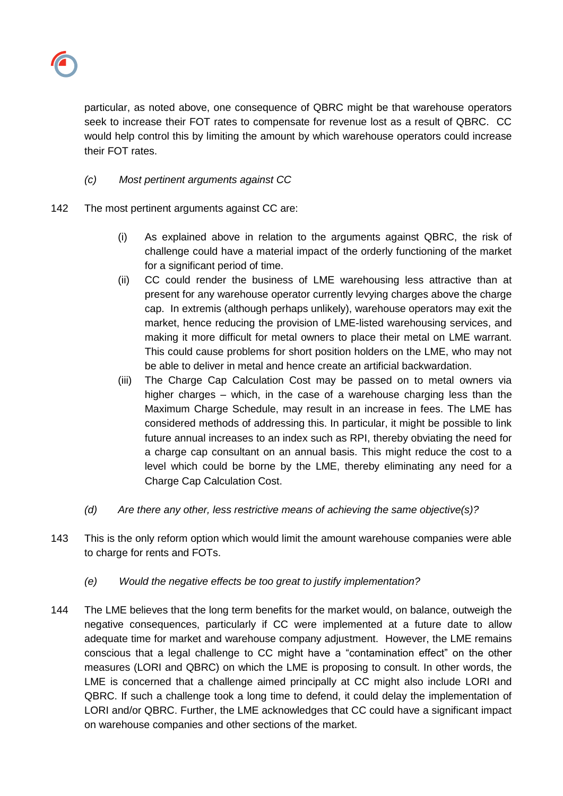

particular, as noted above, one consequence of QBRC might be that warehouse operators seek to increase their FOT rates to compensate for revenue lost as a result of QBRC. CC would help control this by limiting the amount by which warehouse operators could increase their FOT rates.

# *(c) Most pertinent arguments against CC*

- 142 The most pertinent arguments against CC are:
	- (i) As explained above in relation to the arguments against QBRC, the risk of challenge could have a material impact of the orderly functioning of the market for a significant period of time.
	- (ii) CC could render the business of LME warehousing less attractive than at present for any warehouse operator currently levying charges above the charge cap. In extremis (although perhaps unlikely), warehouse operators may exit the market, hence reducing the provision of LME-listed warehousing services, and making it more difficult for metal owners to place their metal on LME warrant. This could cause problems for short position holders on the LME, who may not be able to deliver in metal and hence create an artificial backwardation.
	- (iii) The Charge Cap Calculation Cost may be passed on to metal owners via higher charges – which, in the case of a warehouse charging less than the Maximum Charge Schedule, may result in an increase in fees. The LME has considered methods of addressing this. In particular, it might be possible to link future annual increases to an index such as RPI, thereby obviating the need for a charge cap consultant on an annual basis. This might reduce the cost to a level which could be borne by the LME, thereby eliminating any need for a Charge Cap Calculation Cost.
	- *(d) Are there any other, less restrictive means of achieving the same objective(s)?*
- 143 This is the only reform option which would limit the amount warehouse companies were able to charge for rents and FOTs.
	- *(e) Would the negative effects be too great to justify implementation?*
- 144 The LME believes that the long term benefits for the market would, on balance, outweigh the negative consequences, particularly if CC were implemented at a future date to allow adequate time for market and warehouse company adjustment. However, the LME remains conscious that a legal challenge to CC might have a "contamination effect" on the other measures (LORI and QBRC) on which the LME is proposing to consult. In other words, the LME is concerned that a challenge aimed principally at CC might also include LORI and QBRC. If such a challenge took a long time to defend, it could delay the implementation of LORI and/or QBRC. Further, the LME acknowledges that CC could have a significant impact on warehouse companies and other sections of the market.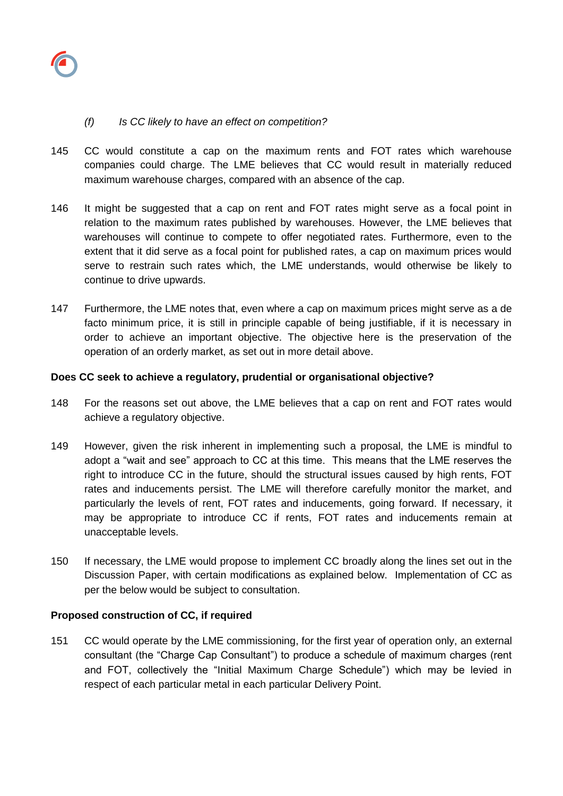

## *(f) Is CC likely to have an effect on competition?*

- 145 CC would constitute a cap on the maximum rents and FOT rates which warehouse companies could charge. The LME believes that CC would result in materially reduced maximum warehouse charges, compared with an absence of the cap.
- 146 It might be suggested that a cap on rent and FOT rates might serve as a focal point in relation to the maximum rates published by warehouses. However, the LME believes that warehouses will continue to compete to offer negotiated rates. Furthermore, even to the extent that it did serve as a focal point for published rates, a cap on maximum prices would serve to restrain such rates which, the LME understands, would otherwise be likely to continue to drive upwards.
- 147 Furthermore, the LME notes that, even where a cap on maximum prices might serve as a de facto minimum price, it is still in principle capable of being justifiable, if it is necessary in order to achieve an important objective. The objective here is the preservation of the operation of an orderly market, as set out in more detail above.

### **Does CC seek to achieve a regulatory, prudential or organisational objective?**

- 148 For the reasons set out above, the LME believes that a cap on rent and FOT rates would achieve a regulatory objective.
- 149 However, given the risk inherent in implementing such a proposal, the LME is mindful to adopt a "wait and see" approach to CC at this time. This means that the LME reserves the right to introduce CC in the future, should the structural issues caused by high rents, FOT rates and inducements persist. The LME will therefore carefully monitor the market, and particularly the levels of rent, FOT rates and inducements, going forward. If necessary, it may be appropriate to introduce CC if rents, FOT rates and inducements remain at unacceptable levels.
- 150 If necessary, the LME would propose to implement CC broadly along the lines set out in the Discussion Paper, with certain modifications as explained below. Implementation of CC as per the below would be subject to consultation.

### **Proposed construction of CC, if required**

151 CC would operate by the LME commissioning, for the first year of operation only, an external consultant (the "Charge Cap Consultant") to produce a schedule of maximum charges (rent and FOT, collectively the "Initial Maximum Charge Schedule") which may be levied in respect of each particular metal in each particular Delivery Point.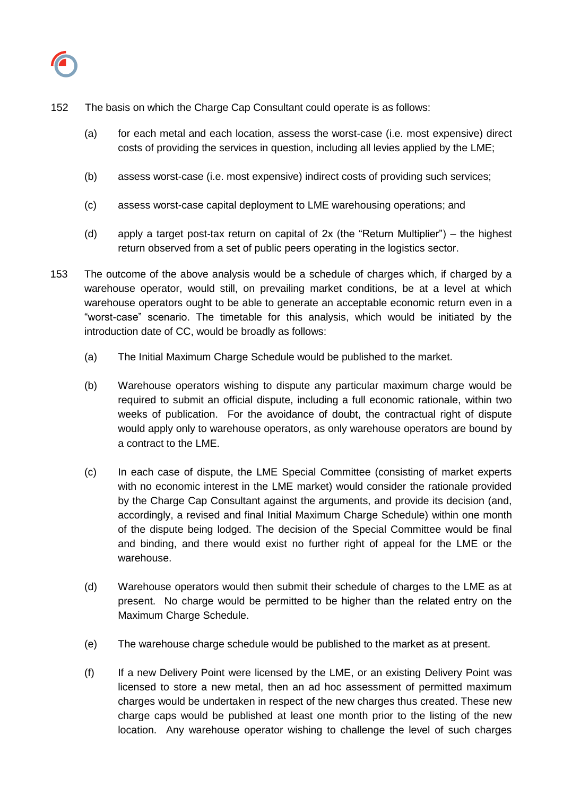

- 152 The basis on which the Charge Cap Consultant could operate is as follows:
	- (a) for each metal and each location, assess the worst-case (i.e. most expensive) direct costs of providing the services in question, including all levies applied by the LME;
	- (b) assess worst-case (i.e. most expensive) indirect costs of providing such services;
	- (c) assess worst-case capital deployment to LME warehousing operations; and
	- (d) apply a target post-tax return on capital of 2x (the "Return Multiplier") the highest return observed from a set of public peers operating in the logistics sector.
- 153 The outcome of the above analysis would be a schedule of charges which, if charged by a warehouse operator, would still, on prevailing market conditions, be at a level at which warehouse operators ought to be able to generate an acceptable economic return even in a "worst-case" scenario. The timetable for this analysis, which would be initiated by the introduction date of CC, would be broadly as follows:
	- (a) The Initial Maximum Charge Schedule would be published to the market.
	- (b) Warehouse operators wishing to dispute any particular maximum charge would be required to submit an official dispute, including a full economic rationale, within two weeks of publication. For the avoidance of doubt, the contractual right of dispute would apply only to warehouse operators, as only warehouse operators are bound by a contract to the LME.
	- (c) In each case of dispute, the LME Special Committee (consisting of market experts with no economic interest in the LME market) would consider the rationale provided by the Charge Cap Consultant against the arguments, and provide its decision (and, accordingly, a revised and final Initial Maximum Charge Schedule) within one month of the dispute being lodged. The decision of the Special Committee would be final and binding, and there would exist no further right of appeal for the LME or the warehouse.
	- (d) Warehouse operators would then submit their schedule of charges to the LME as at present. No charge would be permitted to be higher than the related entry on the Maximum Charge Schedule.
	- (e) The warehouse charge schedule would be published to the market as at present.
	- (f) If a new Delivery Point were licensed by the LME, or an existing Delivery Point was licensed to store a new metal, then an ad hoc assessment of permitted maximum charges would be undertaken in respect of the new charges thus created. These new charge caps would be published at least one month prior to the listing of the new location. Any warehouse operator wishing to challenge the level of such charges